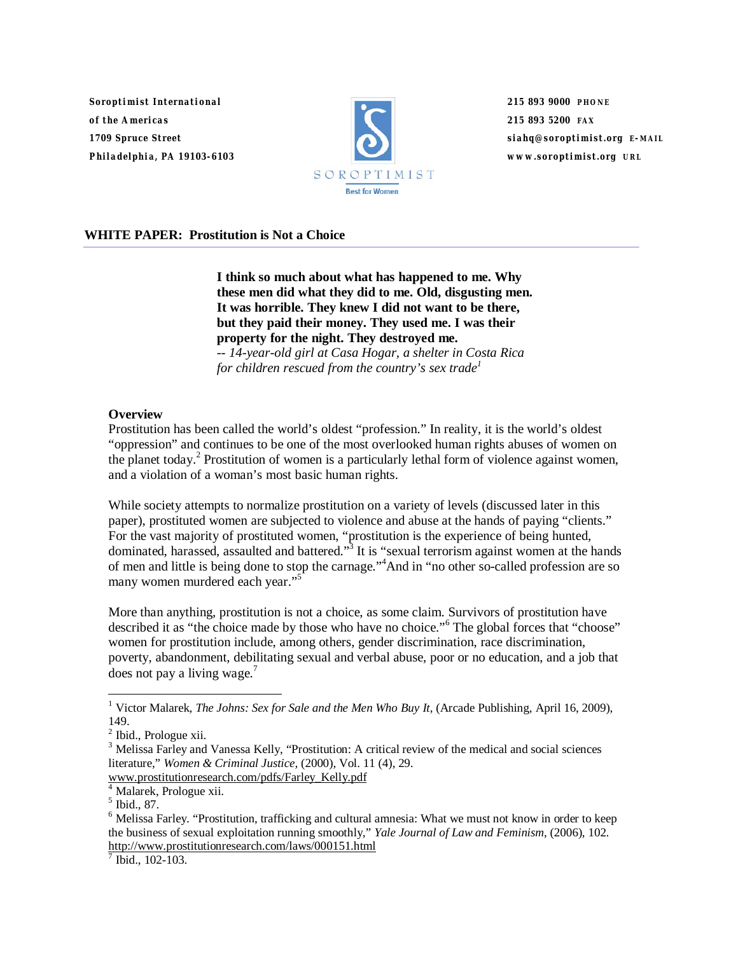*Soroptimist International of the Americas 1709 Spruce Street Philadelphia, PA 19103-6103*



*215 893 9000 PHONE 215 893 5200 FAX siahq@soroptimist.org E-MAIL www.soroptimist.org URL*

# **WHITE PAPER: Prostitution is Not a Choice**

**I think so much about what has happened to me. Why these men did what they did to me. Old, disgusting men. It was horrible. They knew I did not want to be there, but they paid their money. They used me. I was their property for the night. They destroyed me.**  *-- 14-year-old girl at Casa Hogar, a shelter in Costa Rica* 

*for children rescued from the country's sex trade*<sup>1</sup>

# **Overview**

Prostitution has been called the world's oldest "profession." In reality, it is the world's oldest "oppression" and continues to be one of the most overlooked human rights abuses of women on the planet today.<sup>2</sup> Prostitution of women is a particularly lethal form of violence against women, and a violation of a woman's most basic human rights.

While society attempts to normalize prostitution on a variety of levels (discussed later in this paper), prostituted women are subjected to violence and abuse at the hands of paying "clients." For the vast majority of prostituted women, "prostitution is the experience of being hunted, dominated, harassed, assaulted and battered."<sup>3</sup> It is "sexual terrorism against women at the hands of men and little is being done to stop the carnage."<sup>4</sup> And in "no other so-called profession are so many women murdered each year."5

More than anything, prostitution is not a choice, as some claim. Survivors of prostitution have described it as "the choice made by those who have no choice."<sup>6</sup> The global forces that "choose" women for prostitution include, among others, gender discrimination, race discrimination, poverty, abandonment, debilitating sexual and verbal abuse, poor or no education, and a job that does not pay a living wage.<sup>7</sup>

 $<sup>7</sup>$  Ibid., 102-103.</sup>

 $\overline{a}$ <sup>1</sup> Victor Malarek, *The Johns: Sex for Sale and the Men Who Buy It*, (Arcade Publishing, April 16, 2009), 149.

<sup>&</sup>lt;sup>2</sup> Ibid., Prologue xii.

<sup>&</sup>lt;sup>3</sup> Melissa Farley and Vanessa Kelly, "Prostitution: A critical review of the medical and social sciences literature," *Women & Criminal Justice,* (2000), Vol. 11 (4), 29.

www.prostitutionresearch.com/pdfs/Farley\_Kelly.pdf

<sup>4</sup> Malarek, Prologue xii.

<sup>5</sup> Ibid., 87.

<sup>&</sup>lt;sup>6</sup> Melissa Farley. "Prostitution, trafficking and cultural amnesia: What we must not know in order to keep the business of sexual exploitation running smoothly," *Yale Journal of Law and Feminism*, (2006), 102. http://www.prostitutionresearch.com/laws/000151.html <sup>7</sup>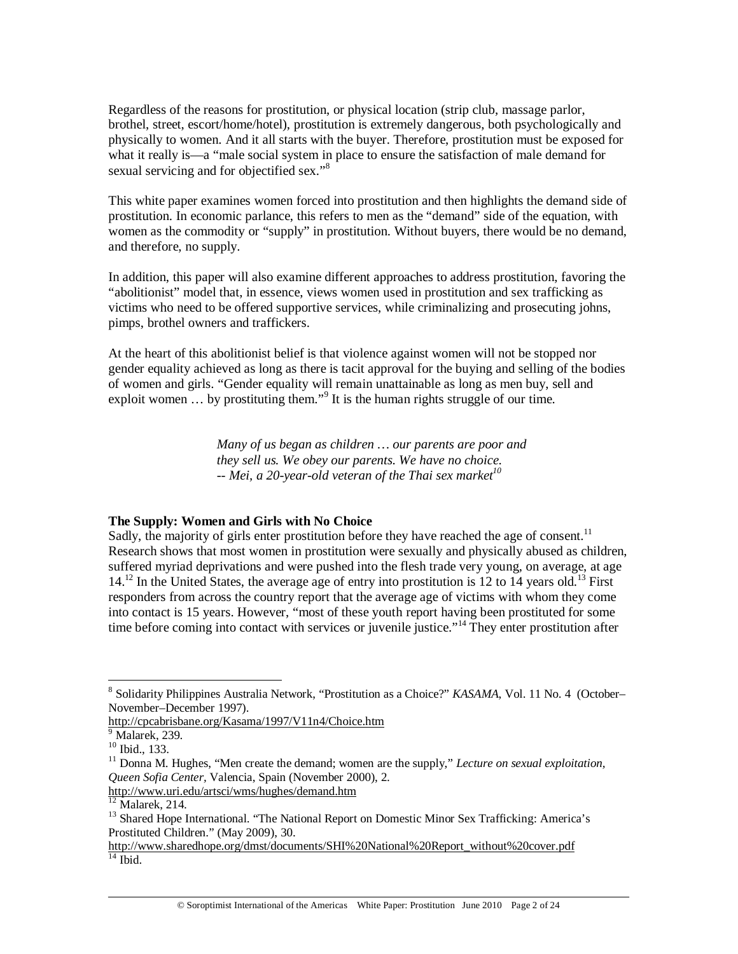Regardless of the reasons for prostitution, or physical location (strip club, massage parlor, brothel, street, escort/home/hotel), prostitution is extremely dangerous, both psychologically and physically to women. And it all starts with the buyer. Therefore, prostitution must be exposed for what it really is—a "male social system in place to ensure the satisfaction of male demand for sexual servicing and for objectified sex."<sup>8</sup>

This white paper examines women forced into prostitution and then highlights the demand side of prostitution. In economic parlance, this refers to men as the "demand" side of the equation, with women as the commodity or "supply" in prostitution. Without buyers, there would be no demand, and therefore, no supply.

In addition, this paper will also examine different approaches to address prostitution, favoring the "abolitionist" model that, in essence, views women used in prostitution and sex trafficking as victims who need to be offered supportive services, while criminalizing and prosecuting johns, pimps, brothel owners and traffickers.

At the heart of this abolitionist belief is that violence against women will not be stopped nor gender equality achieved as long as there is tacit approval for the buying and selling of the bodies of women and girls. "Gender equality will remain unattainable as long as men buy, sell and exploit women  $\ldots$  by prostituting them."<sup>9</sup> It is the human rights struggle of our time.

> *Many of us began as children … our parents are poor and they sell us. We obey our parents. We have no choice. -- Mei, a 20-year-old veteran of the Thai sex market*<sup>10</sup>

#### **The Supply: Women and Girls with No Choice**

Sadly, the majority of girls enter prostitution before they have reached the age of consent.<sup>11</sup> Research shows that most women in prostitution were sexually and physically abused as children, suffered myriad deprivations and were pushed into the flesh trade very young, on average, at age  $14<sup>12</sup>$  In the United States, the average age of entry into prostitution is 12 to 14 years old.<sup>13</sup> First responders from across the country report that the average age of victims with whom they come into contact is 15 years. However, "most of these youth report having been prostituted for some time before coming into contact with services or juvenile justice."<sup>14</sup> They enter prostitution after

 8 Solidarity Philippines Australia Network, "Prostitution as a Choice?" *KASAMA*, Vol. 11 No. 4 (October– November–December 1997).

http://cpcabrisbane.org/Kasama/1997/V11n4/Choice.htm

<sup>9</sup> Malarek, 239.

<sup>&</sup>lt;sup>10</sup> Ibid., 133.

<sup>&</sup>lt;sup>11</sup> Donna M. Hughes, "Men create the demand; women are the supply," *Lecture on sexual exploitation*, *Queen Sofia Center,* Valencia, Spain (November 2000), 2.

http://www.uri.edu/artsci/wms/hughes/demand.htm

 $\frac{12}{12}$  Malarek, 214.

<sup>&</sup>lt;sup>13</sup> Shared Hope International. "The National Report on Domestic Minor Sex Trafficking: America's Prostituted Children." (May 2009), 30.

http://www.sharedhope.org/dmst/documents/SHI%20National%20Report\_without%20cover.pdf  $14$  Ibid.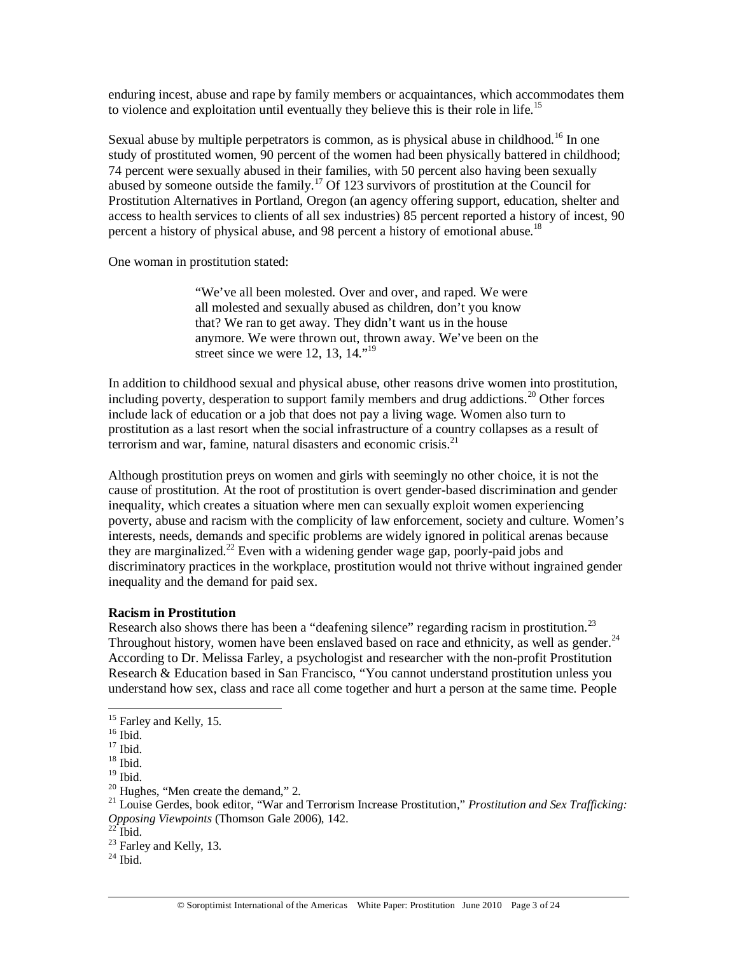enduring incest, abuse and rape by family members or acquaintances, which accommodates them to violence and exploitation until eventually they believe this is their role in life.<sup>15</sup>

Sexual abuse by multiple perpetrators is common, as is physical abuse in childhood.<sup>16</sup> In one study of prostituted women, 90 percent of the women had been physically battered in childhood; 74 percent were sexually abused in their families, with 50 percent also having been sexually abused by someone outside the family.17 Of 123 survivors of prostitution at the Council for Prostitution Alternatives in Portland, Oregon (an agency offering support, education, shelter and access to health services to clients of all sex industries) 85 percent reported a history of incest, 90 percent a history of physical abuse, and 98 percent a history of emotional abuse.<sup>18</sup>

One woman in prostitution stated:

"We've all been molested. Over and over, and raped. We were all molested and sexually abused as children, don't you know that? We ran to get away. They didn't want us in the house anymore. We were thrown out, thrown away. We've been on the street since we were 12, 13,  $14.^{19}$ 

In addition to childhood sexual and physical abuse, other reasons drive women into prostitution, including poverty, desperation to support family members and drug addictions.<sup>20</sup> Other forces include lack of education or a job that does not pay a living wage. Women also turn to prostitution as a last resort when the social infrastructure of a country collapses as a result of terrorism and war, famine, natural disasters and economic crisis. $^{21}$ 

Although prostitution preys on women and girls with seemingly no other choice, it is not the cause of prostitution. At the root of prostitution is overt gender-based discrimination and gender inequality, which creates a situation where men can sexually exploit women experiencing poverty, abuse and racism with the complicity of law enforcement, society and culture. Women's interests, needs, demands and specific problems are widely ignored in political arenas because they are marginalized.<sup>22</sup> Even with a widening gender wage gap, poorly-paid jobs and discriminatory practices in the workplace, prostitution would not thrive without ingrained gender inequality and the demand for paid sex.

# **Racism in Prostitution**

Research also shows there has been a "deafening silence" regarding racism in prostitution.<sup>23</sup> Throughout history, women have been enslaved based on race and ethnicity, as well as gender.<sup>24</sup> According to Dr. Melissa Farley, a psychologist and researcher with the non-profit Prostitution Research & Education based in San Francisco, "You cannot understand prostitution unless you understand how sex, class and race all come together and hurt a person at the same time. People

<sup>&</sup>lt;sup>15</sup> Farley and Kelly, 15.

 $16$  Ibid.

 $17$  Ibid.

 $^{\rm 18}$  Ibid.

 $19$  Ibid.

 $20$  Hughes, "Men create the demand," 2.

<sup>21</sup> Louise Gerdes, book editor, "War and Terrorism Increase Prostitution," *Prostitution and Sex Trafficking: Opposing Viewpoints* (Thomson Gale 2006), 142. 22 Ibid.

 $23$  Farley and Kelly, 13.

 $^{24}$  Ibid.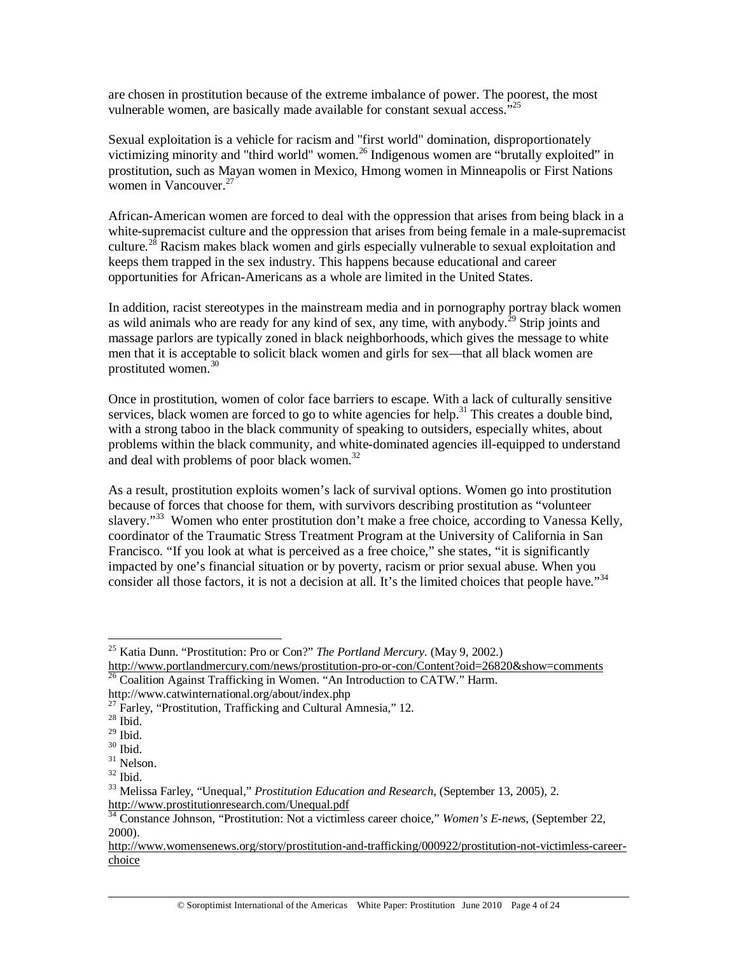are chosen in prostitution because of the extreme imbalance of power. The poorest, the most vulnerable women, are basically made available for constant sexual access." $^{25}$ 

Sexual exploitation is a vehicle for racism and "first world" domination, disproportionately victimizing minority and "third world" women.<sup>26</sup> Indigenous women are "brutally exploited" in prostitution, such as Mayan women in Mexico, Hmong women in Minneapolis or First Nations women in Vancouver.<sup>27</sup>

African-American women are forced to deal with the oppression that arises from being black in a white-supremacist culture and the oppression that arises from being female in a male-supremacist culture.<sup>28</sup> Racism makes black women and girls especially vulnerable to sexual exploitation and keeps them trapped in the sex industry. This happens because educational and career opportunities for African-Americans as a whole are limited in the United States.

In addition, racist stereotypes in the mainstream media and in pornography portray black women as wild animals who are ready for any kind of sex, any time, with anybody.<sup>29</sup> Strip joints and massage parlors are typically zoned in black neighborhoods, which gives the message to white men that it is acceptable to solicit black women and girls for sex—that all black women are prostituted women.<sup>30</sup>

Once in prostitution, women of color face barriers to escape. With a lack of culturally sensitive services, black women are forced to go to white agencies for help.<sup>31</sup> This creates a double bind, with a strong taboo in the black community of speaking to outsiders, especially whites, about problems within the black community, and white-dominated agencies ill-equipped to understand and deal with problems of poor black women.<sup>32</sup>

As a result, prostitution exploits women's lack of survival options. Women go into prostitution because of forces that choose for them, with survivors describing prostitution as "volunteer slavery."<sup>33</sup> Women who enter prostitution don't make a free choice, according to Vanessa Kelly, coordinator of the Traumatic Stress Treatment Program at the University of California in San Francisco. "If you look at what is perceived as a free choice," she states, "it is significantly impacted by one's financial situation or by poverty, racism or prior sexual abuse. When you consider all those factors, it is not a decision at all. It's the limited choices that people have."<sup>34</sup>

<sup>25</sup> Katia Dunn. "Prostitution: Pro or Con?" *The Portland Mercury.* (May 9, 2002.) http://www.portlandmercury.com/news/prostitution-pro-or-con/Content?oid=26820&show=comments <sup>26</sup> Coalition Against Trafficking in Women. "An Introduction to CATW." Harm.

http://www.catwinternational.org/about/index.php

 $^{27}$  Farley, "Prostitution, Trafficking and Cultural Amnesia," 12.

 $^{28}$  Ibid.

 $^{\rm 29}$  Ibid.

 $^{30}$  Ibid.

<sup>&</sup>lt;sup>31</sup> Nelson.

 $32$  Ibid.

<sup>33</sup> Melissa Farley, "Unequal," *Prostitution Education and Research*, (September 13, 2005), 2. http://www.prostitutionresearch.com/Unequal.pdf

<sup>&</sup>lt;sup>34</sup> Constance Johnson, "Prostitution: Not a victimless career choice," *Women's E-news*, (September 22, 2000).

http://www.womensenews.org/story/prostitution-and-trafficking/000922/prostitution-not-victimless-careerchoice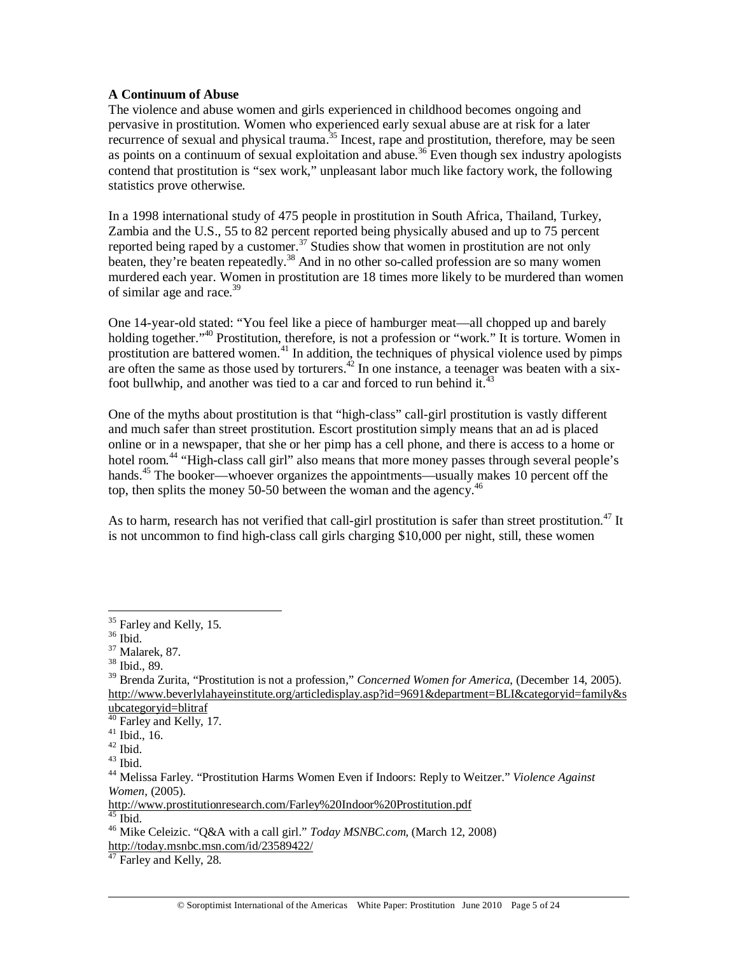# **A Continuum of Abuse**

The violence and abuse women and girls experienced in childhood becomes ongoing and pervasive in prostitution. Women who experienced early sexual abuse are at risk for a later recurrence of sexual and physical trauma.<sup>35</sup> Incest, rape and prostitution, therefore, may be seen as points on a continuum of sexual exploitation and abuse.<sup>36</sup> Even though sex industry apologists contend that prostitution is "sex work," unpleasant labor much like factory work, the following statistics prove otherwise.

In a 1998 international study of 475 people in prostitution in South Africa, Thailand, Turkey, Zambia and the U.S., 55 to 82 percent reported being physically abused and up to 75 percent reported being raped by a customer.<sup>37</sup> Studies show that women in prostitution are not only beaten, they're beaten repeatedly.<sup>38</sup> And in no other so-called profession are so many women murdered each year. Women in prostitution are 18 times more likely to be murdered than women of similar age and race. $39$ 

One 14-year-old stated: "You feel like a piece of hamburger meat—all chopped up and barely holding together."<sup>40</sup> Prostitution, therefore, is not a profession or "work." It is torture. Women in prostitution are battered women.<sup>41</sup> In addition, the techniques of physical violence used by pimps are often the same as those used by torturers.<sup>42</sup> In one instance, a teenager was beaten with a sixfoot bullwhip, and another was tied to a car and forced to run behind it.<sup>43</sup>

One of the myths about prostitution is that "high-class" call-girl prostitution is vastly different and much safer than street prostitution. Escort prostitution simply means that an ad is placed online or in a newspaper, that she or her pimp has a cell phone, and there is access to a home or hotel room.<sup>44</sup> "High-class call girl" also means that more money passes through several people's hands.<sup>45</sup> The booker—whoever organizes the appointments—usually makes 10 percent off the top, then splits the money 50-50 between the woman and the agency.<sup>46</sup>

As to harm, research has not verified that call-girl prostitution is safer than street prostitution.<sup>47</sup> It is not uncommon to find high-class call girls charging \$10,000 per night, still, these women

<sup>&</sup>lt;sup>35</sup> Farley and Kelly, 15.

<sup>36</sup> Ibid.

 $37$  Malarek, 87.

 $38$  Ibid., 89.

<sup>39</sup> Brenda Zurita, "Prostitution is not a profession," *Concerned Women for America*, (December 14, 2005). http://www.beverlylahayeinstitute.org/articledisplay.asp?id=9691&department=BLI&categoryid=family&s ubcategoryid=blitraf

 $\sqrt{0}$  Farley and Kelly, 17.

 $41$  Ibid., 16.

 $^{42}$  Ibid.

<sup>43</sup> Ibid.

<sup>44</sup> Melissa Farley. "Prostitution Harms Women Even if Indoors: Reply to Weitzer." *Violence Against Women,* (2005).

http://www.prostitutionresearch.com/Farley%20Indoor%20Prostitution.pdf

 $45$  Ibid.

<sup>46</sup> Mike Celeizic. "Q&A with a call girl." *Today MSNBC.com,* (March 12, 2008) http://today.msnbc.msn.com/id/23589422/

<sup>&</sup>lt;sup>47</sup> Farley and Kelly, 28.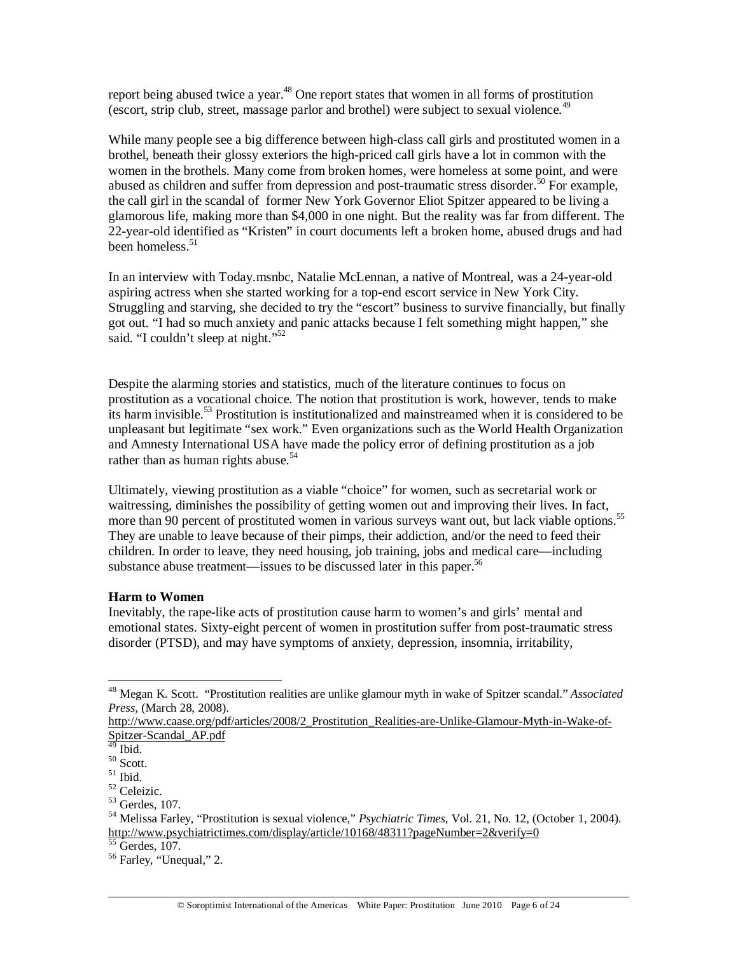report being abused twice a year.<sup>48</sup> One report states that women in all forms of prostitution (escort, strip club, street, massage parlor and brothel) were subject to sexual violence.<sup>49</sup>

While many people see a big difference between high-class call girls and prostituted women in a brothel, beneath their glossy exteriors the high-priced call girls have a lot in common with the women in the brothels. Many come from broken homes, were homeless at some point, and were abused as children and suffer from depression and post-traumatic stress disorder.<sup>50</sup> For example, the call girl in the scandal of former New York Governor Eliot Spitzer appeared to be living a glamorous life, making more than \$4,000 in one night. But the reality was far from different. The 22-year-old identified as "Kristen" in court documents left a broken home, abused drugs and had been homeless.<sup>51</sup>

In an interview with Today.msnbc, Natalie McLennan, a native of Montreal, was a 24-year-old aspiring actress when she started working for a top-end escort service in New York City. Struggling and starving, she decided to try the "escort" business to survive financially, but finally got out. "I had so much anxiety and panic attacks because I felt something might happen," she said. "I couldn't sleep at night."<sup>52</sup>

Despite the alarming stories and statistics, much of the literature continues to focus on prostitution as a vocational choice. The notion that prostitution is work, however, tends to make its harm invisible.<sup>53</sup> Prostitution is institutionalized and mainstreamed when it is considered to be unpleasant but legitimate "sex work." Even organizations such as the World Health Organization and Amnesty International USA have made the policy error of defining prostitution as a job rather than as human rights abuse.<sup>54</sup>

Ultimately, viewing prostitution as a viable "choice" for women, such as secretarial work or waitressing, diminishes the possibility of getting women out and improving their lives. In fact, more than 90 percent of prostituted women in various surveys want out, but lack viable options.<sup>55</sup> They are unable to leave because of their pimps, their addiction, and/or the need to feed their children. In order to leave, they need housing, job training, jobs and medical care—including substance abuse treatment—issues to be discussed later in this paper.<sup>56</sup>

# **Harm to Women**

Inevitably, the rape-like acts of prostitution cause harm to women's and girls' mental and emotional states. Sixty-eight percent of women in prostitution suffer from post-traumatic stress disorder (PTSD), and may have symptoms of anxiety, depression, insomnia, irritability,

 $\overline{a}$ 48 Megan K. Scott. "Prostitution realities are unlike glamour myth in wake of Spitzer scandal." *Associated Press,* (March 28, 2008).

http://www.caase.org/pdf/articles/2008/2\_Prostitution\_Realities-are-Unlike-Glamour-Myth-in-Wake-of-Spitzer-Scandal\_AP.pdf

 $49$  Ibid.

<sup>50</sup> Scott.

 $^{51}$  Ibid.

<sup>52</sup> Celeizic.

<sup>53</sup> Gerdes, 107.

<sup>54</sup> Melissa Farley, "Prostitution is sexual violence," *Psychiatric Times*, Vol. 21, No. 12, (October 1, 2004). http://www.psychiatrictimes.com/display/article/10168/48311?pageNumber=2&verify=0 55 Gerdes, 107.

<sup>&</sup>lt;sup>56</sup> Farley, "Unequal," 2.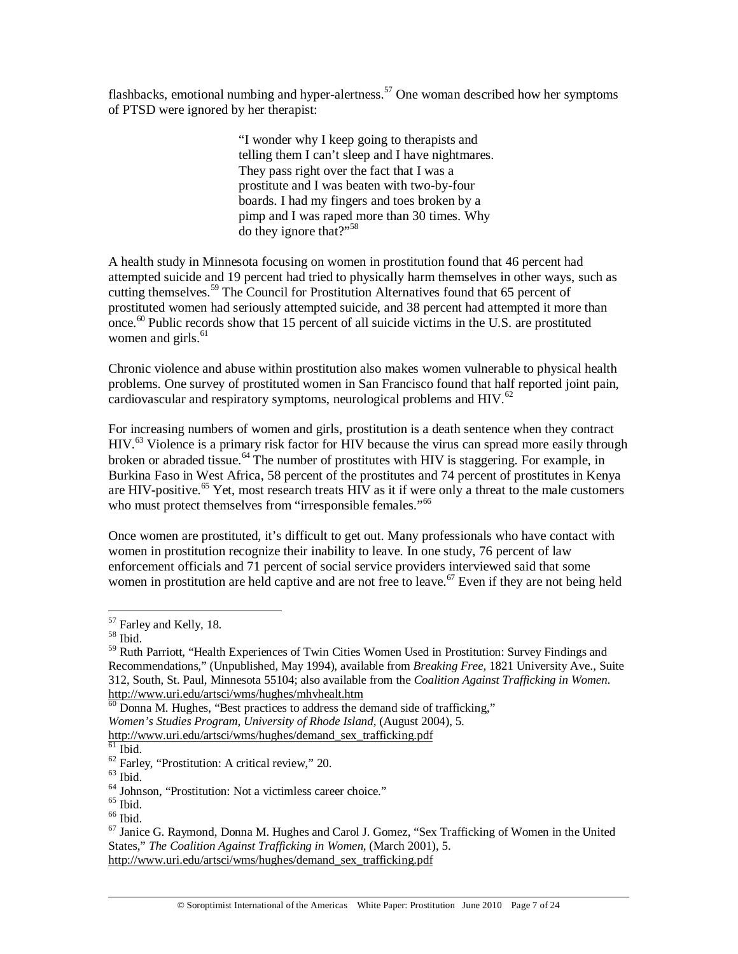flashbacks, emotional numbing and hyper-alertness.<sup>57</sup> One woman described how her symptoms of PTSD were ignored by her therapist:

> "I wonder why I keep going to therapists and telling them I can't sleep and I have nightmares. They pass right over the fact that I was a prostitute and I was beaten with two-by-four boards. I had my fingers and toes broken by a pimp and I was raped more than 30 times. Why do they ignore that?"<sup>58</sup>

A health study in Minnesota focusing on women in prostitution found that 46 percent had attempted suicide and 19 percent had tried to physically harm themselves in other ways, such as cutting themselves.<sup>59</sup> The Council for Prostitution Alternatives found that 65 percent of prostituted women had seriously attempted suicide, and 38 percent had attempted it more than once.<sup>60</sup> Public records show that 15 percent of all suicide victims in the U.S. are prostituted women and girls. $61$ 

Chronic violence and abuse within prostitution also makes women vulnerable to physical health problems. One survey of prostituted women in San Francisco found that half reported joint pain, cardiovascular and respiratory symptoms, neurological problems and HIV. $^{62}$ 

For increasing numbers of women and girls, prostitution is a death sentence when they contract HIV.<sup>63</sup> Violence is a primary risk factor for HIV because the virus can spread more easily through broken or abraded tissue.<sup>64</sup> The number of prostitutes with HIV is staggering. For example, in Burkina Faso in West Africa, 58 percent of the prostitutes and 74 percent of prostitutes in Kenya are HIV-positive.<sup>65</sup> Yet, most research treats HIV as it if were only a threat to the male customers who must protect themselves from "irresponsible females."<sup>66</sup>

Once women are prostituted, it's difficult to get out. Many professionals who have contact with women in prostitution recognize their inability to leave. In one study, 76 percent of law enforcement officials and 71 percent of social service providers interviewed said that some women in prostitution are held captive and are not free to leave.  $67$  Even if they are not being held

<sup>&</sup>lt;sup>57</sup> Farley and Kelly, 18.

<sup>58</sup> Ibid.

<sup>&</sup>lt;sup>59</sup> Ruth Parriott, "Health Experiences of Twin Cities Women Used in Prostitution: Survey Findings and Recommendations," (Unpublished, May 1994), available from *Breaking Free,* 1821 University Ave., Suite 312, South, St. Paul, Minnesota 55104; also available from the *Coalition Against Trafficking in Women*. http://www.uri.edu/artsci/wms/hughes/mhvhealt.htm

 $60$  Donna M. Hughes, "Best practices to address the demand side of trafficking,"

*Women's Studies Program*, *University of Rhode Island*, (August 2004), 5.

http://www.uri.edu/artsci/wms/hughes/demand\_sex\_trafficking.pdf

 $\overline{61}$  Ibid.

 $62$  Farley, "Prostitution: A critical review," 20.

 $63$  Ibid.

<sup>64</sup> Johnson, "Prostitution: Not a victimless career choice."

 $\rm ^{65}$  Ibid.

 $66$  Ibid.

 $67$  Janice G. Raymond, Donna M. Hughes and Carol J. Gomez, "Sex Trafficking of Women in the United States," *The Coalition Against Trafficking in Women*, (March 2001), 5. http://www.uri.edu/artsci/wms/hughes/demand\_sex\_trafficking.pdf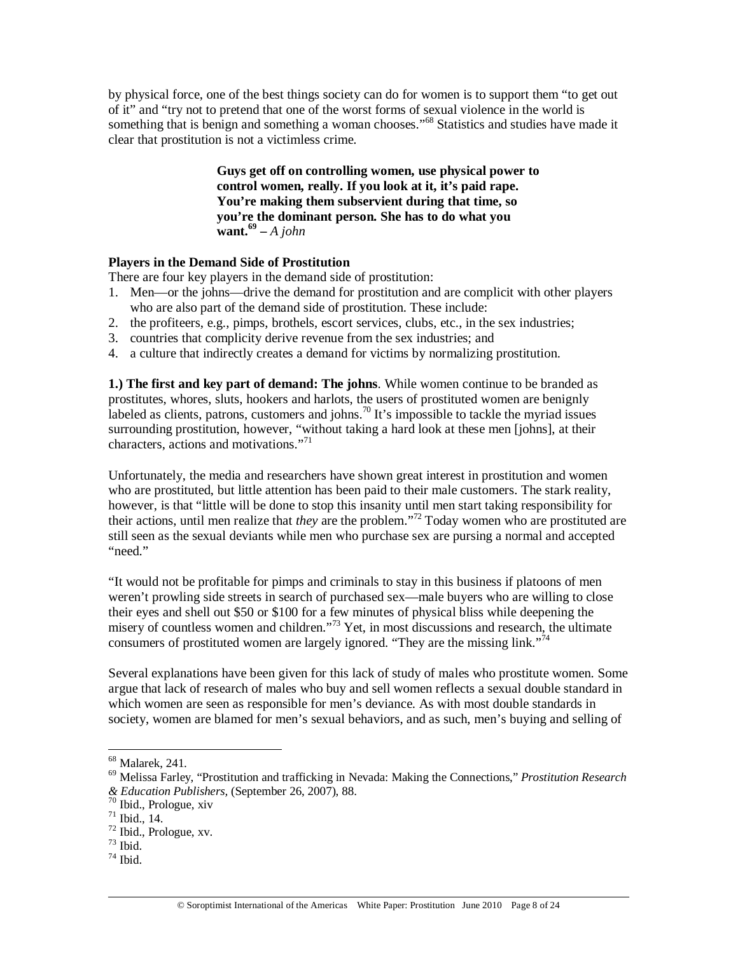by physical force, one of the best things society can do for women is to support them "to get out of it" and "try not to pretend that one of the worst forms of sexual violence in the world is something that is benign and something a woman chooses."<sup>68</sup> Statistics and studies have made it clear that prostitution is not a victimless crime.

> **Guys get off on controlling women, use physical power to control women, really. If you look at it, it's paid rape. You're making them subservient during that time, so you're the dominant person. She has to do what you want.**<sup> $69$ </sup> – *A john*

# **Players in the Demand Side of Prostitution**

There are four key players in the demand side of prostitution:

- 1. Men—or the johns—drive the demand for prostitution and are complicit with other players who are also part of the demand side of prostitution. These include:
- 2. the profiteers, e.g., pimps, brothels, escort services, clubs, etc., in the sex industries;
- 3. countries that complicity derive revenue from the sex industries; and
- 4. a culture that indirectly creates a demand for victims by normalizing prostitution.

**1.) The first and key part of demand: The johns**. While women continue to be branded as prostitutes, whores, sluts, hookers and harlots, the users of prostituted women are benignly labeled as clients, patrons, customers and johns.<sup>70</sup> It's impossible to tackle the myriad issues surrounding prostitution, however, "without taking a hard look at these men [johns], at their characters, actions and motivations."<sup>71</sup>

Unfortunately, the media and researchers have shown great interest in prostitution and women who are prostituted, but little attention has been paid to their male customers. The stark reality, however, is that "little will be done to stop this insanity until men start taking responsibility for their actions, until men realize that *they* are the problem."72 Today women who are prostituted are still seen as the sexual deviants while men who purchase sex are pursing a normal and accepted "need."

"It would not be profitable for pimps and criminals to stay in this business if platoons of men weren't prowling side streets in search of purchased sex—male buyers who are willing to close their eyes and shell out \$50 or \$100 for a few minutes of physical bliss while deepening the misery of countless women and children."<sup>73</sup> Yet, in most discussions and research, the ultimate consumers of prostituted women are largely ignored. "They are the missing link."<sup>74</sup>

Several explanations have been given for this lack of study of males who prostitute women. Some argue that lack of research of males who buy and sell women reflects a sexual double standard in which women are seen as responsible for men's deviance. As with most double standards in society, women are blamed for men's sexual behaviors, and as such, men's buying and selling of

<sup>68</sup> Malarek, 241.

<sup>69</sup> Melissa Farley, "Prostitution and trafficking in Nevada: Making the Connections," *Prostitution Research & Education Publishers,* (September 26, 2007), 88. 70 Ibid., Prologue, xiv

 $71$  Ibid., 14.

<sup>72</sup> Ibid., Prologue, xv.

<sup>73</sup> Ibid.

 $74$  Ibid.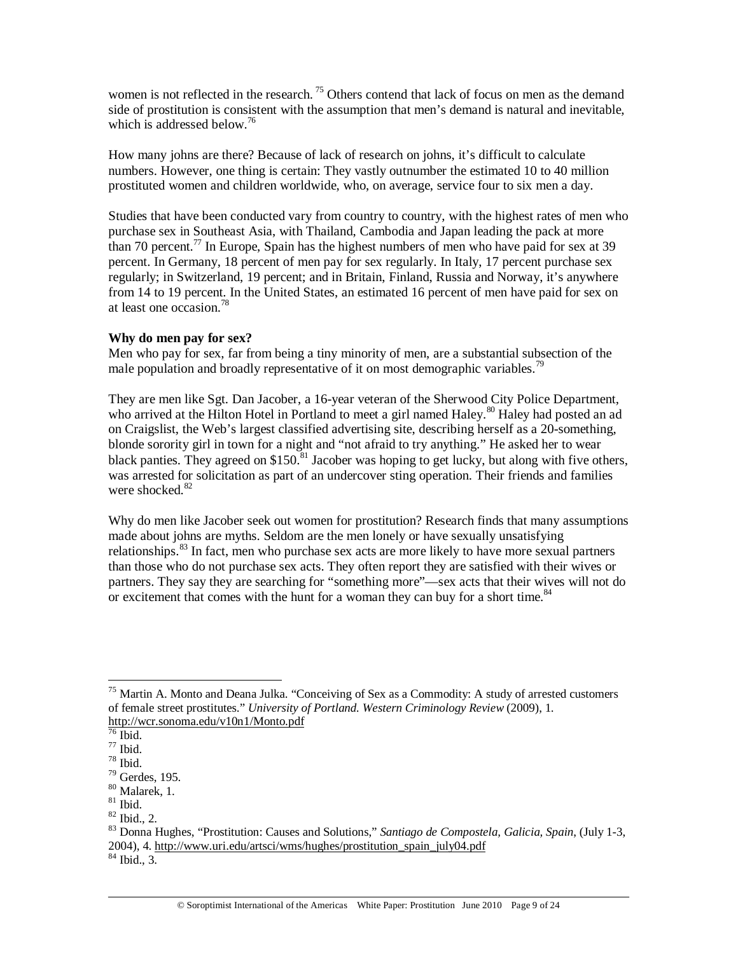women is not reflected in the research.<sup>75</sup> Others contend that lack of focus on men as the demand side of prostitution is consistent with the assumption that men's demand is natural and inevitable, which is addressed below.<sup>76</sup>

How many johns are there? Because of lack of research on johns, it's difficult to calculate numbers. However, one thing is certain: They vastly outnumber the estimated 10 to 40 million prostituted women and children worldwide, who, on average, service four to six men a day.

Studies that have been conducted vary from country to country, with the highest rates of men who purchase sex in Southeast Asia, with Thailand, Cambodia and Japan leading the pack at more than 70 percent.<sup>77</sup> In Europe, Spain has the highest numbers of men who have paid for sex at 39 percent. In Germany, 18 percent of men pay for sex regularly. In Italy, 17 percent purchase sex regularly; in Switzerland, 19 percent; and in Britain, Finland, Russia and Norway, it's anywhere from 14 to 19 percent. In the United States, an estimated 16 percent of men have paid for sex on at least one occasion<sup>78</sup>

# **Why do men pay for sex?**

Men who pay for sex, far from being a tiny minority of men, are a substantial subsection of the male population and broadly representative of it on most demographic variables.<sup>79</sup>

They are men like Sgt. Dan Jacober, a 16-year veteran of the Sherwood City Police Department, who arrived at the Hilton Hotel in Portland to meet a girl named Haley.<sup>80</sup> Haley had posted an ad on Craigslist, the Web's largest classified advertising site, describing herself as a 20-something, blonde sorority girl in town for a night and "not afraid to try anything." He asked her to wear black panties. They agreed on \$150.<sup>81</sup> Jacober was hoping to get lucky, but along with five others, was arrested for solicitation as part of an undercover sting operation. Their friends and families were shocked.<sup>82</sup>

Why do men like Jacober seek out women for prostitution? Research finds that many assumptions made about johns are myths. Seldom are the men lonely or have sexually unsatisfying relationships.83 In fact, men who purchase sex acts are more likely to have more sexual partners than those who do not purchase sex acts. They often report they are satisfied with their wives or partners. They say they are searching for "something more"—sex acts that their wives will not do or excitement that comes with the hunt for a woman they can buy for a short time. $84$ 

84 Ibid., 3.

 $\overline{a}$ <sup>75</sup> Martin A. Monto and Deana Julka. "Conceiving of Sex as a Commodity: A study of arrested customers of female street prostitutes." *University of Portland. Western Criminology Review* (2009), 1. http://wcr.sonoma.edu/v10n1/Monto.pdf

 $\frac{76}{1}$  Ibid.

 $^{77}$  Ibid.

 $^{\rm 78}$  Ibid.

<sup>79</sup> Gerdes, 195.

<sup>80</sup> Malarek, 1.

 $^{81}$  Ibid.

<sup>82</sup> Ibid., 2.

<sup>83</sup> Donna Hughes, "Prostitution: Causes and Solutions," *Santiago de Compostela, Galicia, Spain*, (July 1-3, 2004), 4. http://www.uri.edu/artsci/wms/hughes/prostitution\_spain\_july04.pdf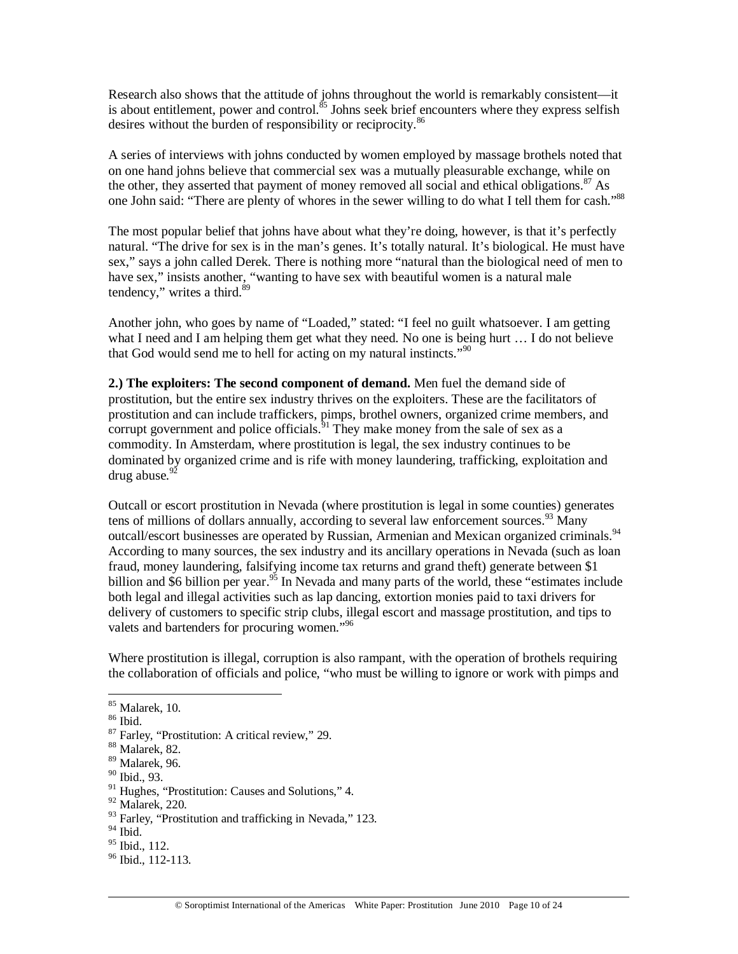Research also shows that the attitude of johns throughout the world is remarkably consistent—it is about entitlement, power and control. $\frac{85}{5}$  Johns seek brief encounters where they express selfish desires without the burden of responsibility or reciprocity.<sup>86</sup>

A series of interviews with johns conducted by women employed by massage brothels noted that on one hand johns believe that commercial sex was a mutually pleasurable exchange, while on the other, they asserted that payment of money removed all social and ethical obligations.<sup>87</sup> As one John said: "There are plenty of whores in the sewer willing to do what I tell them for cash."<sup>88</sup>

The most popular belief that johns have about what they're doing, however, is that it's perfectly natural. "The drive for sex is in the man's genes. It's totally natural. It's biological. He must have sex," says a john called Derek. There is nothing more "natural than the biological need of men to have sex," insists another, "wanting to have sex with beautiful women is a natural male tendency," writes a third.<sup>89</sup>

Another john, who goes by name of "Loaded," stated: "I feel no guilt whatsoever. I am getting what I need and I am helping them get what they need. No one is being hurt ... I do not believe that God would send me to hell for acting on my natural instincts.<sup>"90</sup>

**2.) The exploiters: The second component of demand.** Men fuel the demand side of prostitution, but the entire sex industry thrives on the exploiters. These are the facilitators of prostitution and can include traffickers, pimps, brothel owners, organized crime members, and corrupt government and police officials.<sup>91</sup> They make money from the sale of sex as a commodity. In Amsterdam, where prostitution is legal, the sex industry continues to be dominated by organized crime and is rife with money laundering, trafficking, exploitation and drug abuse. $92$ 

Outcall or escort prostitution in Nevada (where prostitution is legal in some counties) generates tens of millions of dollars annually, according to several law enforcement sources.<sup>93</sup> Many outcall/escort businesses are operated by Russian, Armenian and Mexican organized criminals.<sup>94</sup> According to many sources, the sex industry and its ancillary operations in Nevada (such as loan fraud, money laundering, falsifying income tax returns and grand theft) generate between \$1 billion and \$6 billion per year.<sup>95</sup> In Nevada and many parts of the world, these "estimates include" both legal and illegal activities such as lap dancing, extortion monies paid to taxi drivers for delivery of customers to specific strip clubs, illegal escort and massage prostitution, and tips to valets and bartenders for procuring women."<sup>96</sup>

Where prostitution is illegal, corruption is also rampant, with the operation of brothels requiring the collaboration of officials and police, "who must be willing to ignore or work with pimps and

<sup>85</sup> Malarek, 10.

 $^{86}$  Ibid.

<sup>87</sup> Farley, "Prostitution: A critical review," 29.

<sup>88</sup> Malarek, 82.

<sup>89</sup> Malarek, 96.

<sup>90</sup> Ibid., 93.

<sup>&</sup>lt;sup>91</sup> Hughes, "Prostitution: Causes and Solutions," 4.

<sup>92</sup> Malarek, 220.

<sup>&</sup>lt;sup>93</sup> Farley, "Prostitution and trafficking in Nevada," 123.

 $94$  Ibid.

 $95$  Ibid., 112.

 $96$  Ibid., 112-113.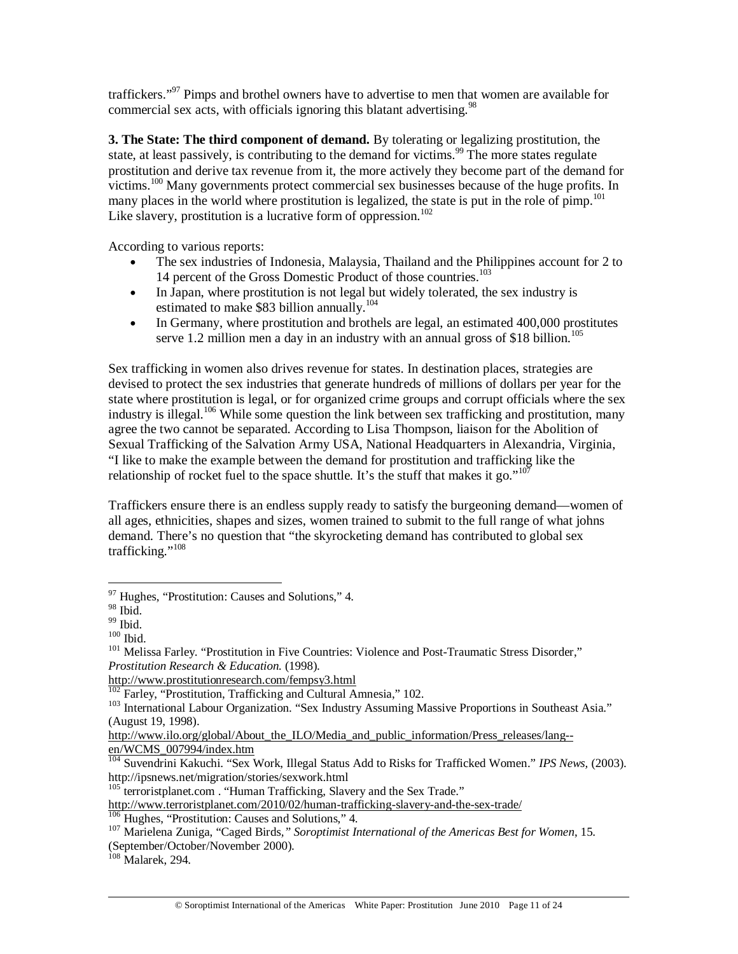traffickers."<sup>97</sup> Pimps and brothel owners have to advertise to men that women are available for commercial sex acts, with officials ignoring this blatant advertising.<sup>98</sup>

**3. The State: The third component of demand.** By tolerating or legalizing prostitution, the state, at least passively, is contributing to the demand for victims.<sup>99</sup> The more states regulate prostitution and derive tax revenue from it, the more actively they become part of the demand for victims.<sup>100</sup> Many governments protect commercial sex businesses because of the huge profits. In many places in the world where prostitution is legalized, the state is put in the role of pimp.<sup>101</sup> Like slavery, prostitution is a lucrative form of oppression.<sup>102</sup>

According to various reports:

- The sex industries of Indonesia, Malaysia, Thailand and the Philippines account for 2 to 14 percent of the Gross Domestic Product of those countries.<sup>103</sup>
- In Japan, where prostitution is not legal but widely tolerated, the sex industry is estimated to make \$83 billion annually.<sup>104</sup>
- In Germany, where prostitution and brothels are legal, an estimated 400,000 prostitutes serve 1.2 million men a day in an industry with an annual gross of \$18 billion.<sup>105</sup>

Sex trafficking in women also drives revenue for states. In destination places, strategies are devised to protect the sex industries that generate hundreds of millions of dollars per year for the state where prostitution is legal, or for organized crime groups and corrupt officials where the sex industry is illegal.<sup>106</sup> While some question the link between sex trafficking and prostitution, many agree the two cannot be separated. According to Lisa Thompson, liaison for the Abolition of Sexual Trafficking of the Salvation Army USA, National Headquarters in Alexandria, Virginia, "I like to make the example between the demand for prostitution and trafficking like the relationship of rocket fuel to the space shuttle. It's the stuff that makes it go." $107$ 

Traffickers ensure there is an endless supply ready to satisfy the burgeoning demand—women of all ages, ethnicities, shapes and sizes, women trained to submit to the full range of what johns demand. There's no question that "the skyrocketing demand has contributed to global sex trafficking."<sup>108</sup>

 $97$  Hughes, "Prostitution: Causes and Solutions," 4.

<sup>98</sup> Ibid.

 $\frac{99}{100}$  Ibid.

<sup>&</sup>lt;sup>101</sup> Melissa Farley. "Prostitution in Five Countries: Violence and Post-Traumatic Stress Disorder." *Prostitution Research & Education.* (1998).

http://www.prostitutionresearch.com/fempsy3.html<br><sup>102</sup> Farley, "Prostitution, Trafficking and Cultural Amnesia," 102.

<sup>&</sup>lt;sup>103</sup> International Labour Organization. "Sex Industry Assuming Massive Proportions in Southeast Asia." (August 19, 1998).

http://www.ilo.org/global/About\_the\_ILO/Media\_and\_public\_information/Press\_releases/lang- en/WCMS\_007994/index.htm

<sup>104</sup> Suvendrini Kakuchi. "Sex Work, Illegal Status Add to Risks for Trafficked Women." *IPS News,* (2003). http://ipsnews.net/migration/stories/sexwork.html

<sup>&</sup>lt;sup>105</sup> terroristplanet.com . "Human Trafficking, Slavery and the Sex Trade."

http://www.terroristplanet.com/2010/02/human-trafficking-slavery-and-the-sex-trade/<br><sup>106</sup> Hughes, "Prostitution: Causes and Solutions," 4.

<sup>107</sup> Marielena Zuniga, "Caged Birds," Soroptimist International of the Americas Best for Women, 15. (September/October/November 2000).

<sup>108</sup> Malarek, 294.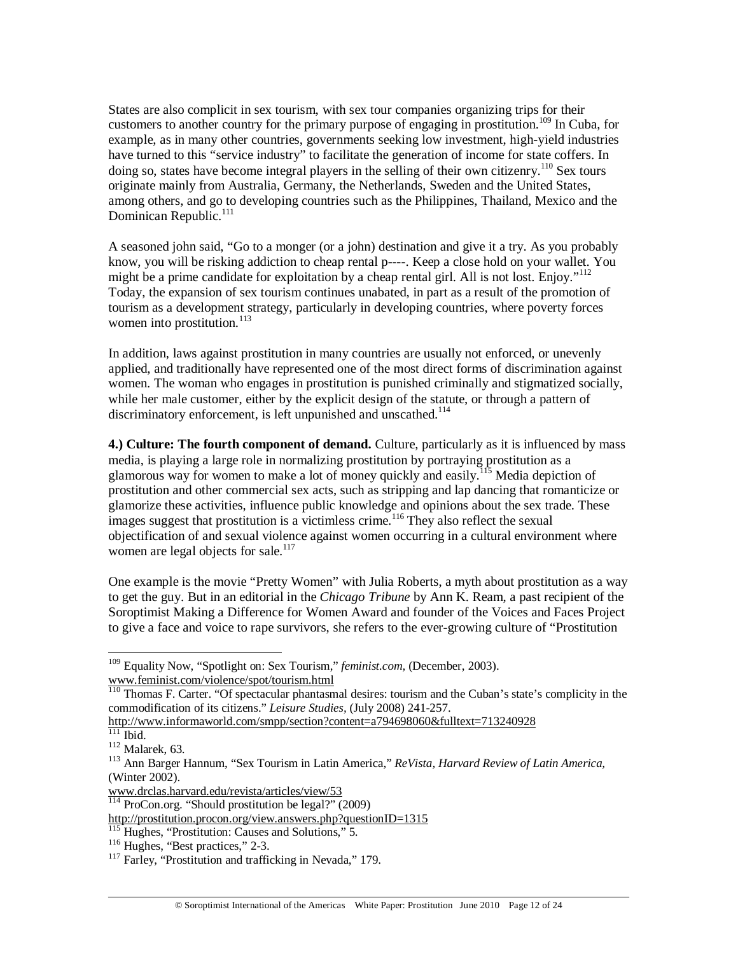States are also complicit in sex tourism, with sex tour companies organizing trips for their customers to another country for the primary purpose of engaging in prostitution.<sup>109</sup> In Cuba, for example, as in many other countries, governments seeking low investment, high-yield industries have turned to this "service industry" to facilitate the generation of income for state coffers. In doing so, states have become integral players in the selling of their own citizenry.<sup>110</sup> Sex tours originate mainly from Australia, Germany, the Netherlands, Sweden and the United States, among others, and go to developing countries such as the Philippines, Thailand, Mexico and the Dominican Republic.<sup>111</sup>

A seasoned john said, "Go to a monger (or a john) destination and give it a try. As you probably know, you will be risking addiction to cheap rental p----. Keep a close hold on your wallet. You might be a prime candidate for exploitation by a cheap rental girl. All is not lost. Enjoy."<sup>112</sup> Today, the expansion of sex tourism continues unabated, in part as a result of the promotion of tourism as a development strategy, particularly in developing countries, where poverty forces women into prostitution.<sup>113</sup>

In addition, laws against prostitution in many countries are usually not enforced, or unevenly applied, and traditionally have represented one of the most direct forms of discrimination against women. The woman who engages in prostitution is punished criminally and stigmatized socially, while her male customer, either by the explicit design of the statute, or through a pattern of discriminatory enforcement, is left unpunished and unscathed.<sup>114</sup>

**4.) Culture: The fourth component of demand.** Culture, particularly as it is influenced by mass media, is playing a large role in normalizing prostitution by portraying prostitution as a glamorous way for women to make a lot of money quickly and easily.<sup>115</sup> Media depiction of prostitution and other commercial sex acts, such as stripping and lap dancing that romanticize or glamorize these activities, influence public knowledge and opinions about the sex trade. These images suggest that prostitution is a victimless crime.<sup>116</sup> They also reflect the sexual objectification of and sexual violence against women occurring in a cultural environment where women are legal objects for sale.<sup>117</sup>

One example is the movie "Pretty Women" with Julia Roberts, a myth about prostitution as a way to get the guy. But in an editorial in the *Chicago Tribune* by Ann K. Ream, a past recipient of the Soroptimist Making a Difference for Women Award and founder of the Voices and Faces Project to give a face and voice to rape survivors, she refers to the ever-growing culture of "Prostitution

 $\overline{a}$ 

www.drclas.harvard.edu/revista/articles/view/53

<sup>109</sup> Equality Now, "Spotlight on: Sex Tourism," *feminist.com,* (December, 2003). www.feminist.com/violence/spot/tourism.html

<sup>&</sup>lt;sup>110</sup> Thomas F. Carter. "Of spectacular phantasmal desires: tourism and the Cuban's state's complicity in the commodification of its citizens." *Leisure Studies,* (July 2008) 241-257. http://www.informaworld.com/smpp/section?content=a794698060&fulltext=713240928<br><sup>111</sup> Ibid.<br><sup>112</sup> Malarek, 63.<br><sup>113</sup> Ann Barger Hannum, "Sex Tourism in Latin America," *ReVista, Harvard Review of Latin America*,

<sup>(</sup>Winter 2002).

 $114$  ProCon.org. "Should prostitution be legal?" (2009)

http://prostitution.procon.org/view.answers.php?questionID=1315<br><sup>115</sup> Hughes, "Prostitution: Causes and Solutions," 5.

<sup>116</sup> Hughes, "Prostitution: Causes and Solutions," 5.<br>
<sup>116</sup> Hughes, "Best practices," 2-3.<br>
<sup>117</sup> Farley, "Prostitution and trafficking in Nevada," 179.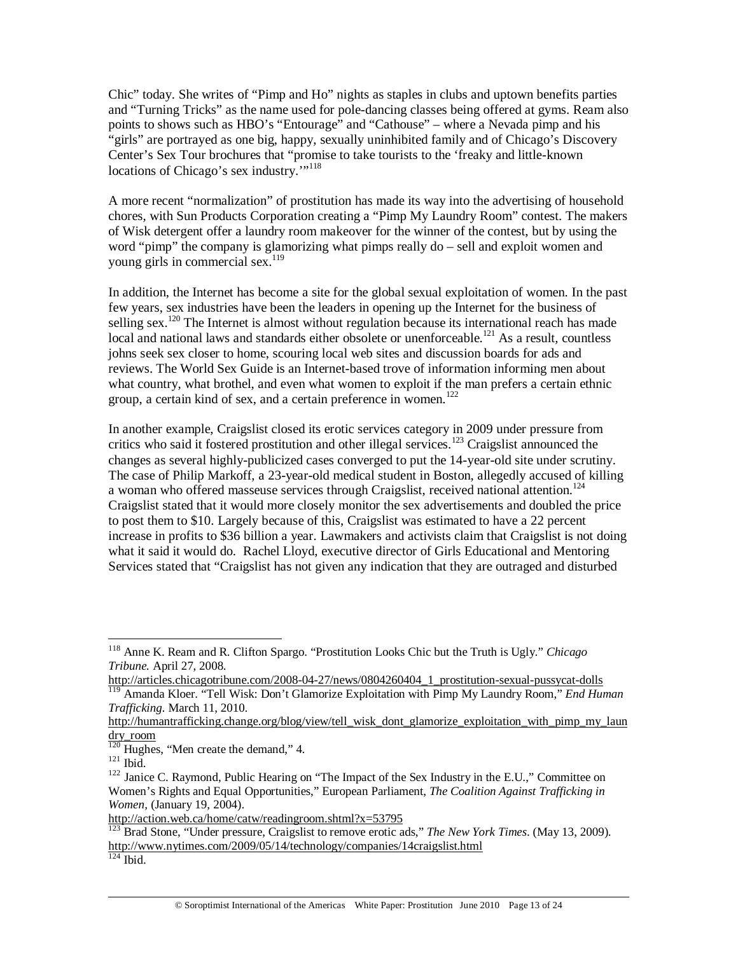Chic" today. She writes of "Pimp and Ho" nights as staples in clubs and uptown benefits parties and "Turning Tricks" as the name used for pole-dancing classes being offered at gyms. Ream also points to shows such as HBO's "Entourage" and "Cathouse" – where a Nevada pimp and his "girls" are portrayed as one big, happy, sexually uninhibited family and of Chicago's Discovery Center's Sex Tour brochures that "promise to take tourists to the 'freaky and little-known locations of Chicago's sex industry."<sup>118</sup>

A more recent "normalization" of prostitution has made its way into the advertising of household chores, with Sun Products Corporation creating a "Pimp My Laundry Room" contest. The makers of Wisk detergent offer a laundry room makeover for the winner of the contest, but by using the word "pimp" the company is glamorizing what pimps really do – sell and exploit women and young girls in commercial sex.<sup>119</sup>

In addition, the Internet has become a site for the global sexual exploitation of women. In the past few years, sex industries have been the leaders in opening up the Internet for the business of selling sex.<sup>120</sup> The Internet is almost without regulation because its international reach has made local and national laws and standards either obsolete or unenforceable.<sup>121</sup> As a result, countless johns seek sex closer to home, scouring local web sites and discussion boards for ads and reviews. The World Sex Guide is an Internet-based trove of information informing men about what country, what brothel, and even what women to exploit if the man prefers a certain ethnic group, a certain kind of sex, and a certain preference in women.<sup>122</sup>

In another example, Craigslist closed its erotic services category in 2009 under pressure from critics who said it fostered prostitution and other illegal services.<sup>123</sup> Craigslist announced the changes as several highly-publicized cases converged to put the 14-year-old site under scrutiny. The case of Philip Markoff, a 23-year-old medical student in Boston, allegedly accused of killing a woman who offered masseuse services through Craigslist, received national attention.<sup>124</sup> Craigslist stated that it would more closely monitor the sex advertisements and doubled the price to post them to \$10. Largely because of this, Craigslist was estimated to have a 22 percent increase in profits to \$36 billion a year. Lawmakers and activists claim that Craigslist is not doing what it said it would do. Rachel Lloyd, executive director of Girls Educational and Mentoring Services stated that "Craigslist has not given any indication that they are outraged and disturbed

 $\overline{a}$ 118 Anne K. Ream and R. Clifton Spargo. "Prostitution Looks Chic but the Truth is Ugly." *Chicago Tribune.* April 27, 2008.

http://articles.chicagotribune.com/2008-04-27/news/0804260404\_1\_prostitution-sexual-pussycat-dolls 119 Amanda Kloer. "Tell Wisk: Don't Glamorize Exploitation with Pimp My Laundry Room," *End Human* 

*Trafficking.* March 11, 2010.

http://humantrafficking.change.org/blog/view/tell\_wisk\_dont\_glamorize\_exploitation\_with\_pimp\_my\_laun  $\frac{dry\ room}{120\ Hughes}$ , "Men create the demand," 4.

<sup>121</sup> Ibid.<br><sup>121</sup> Ibid. 122 Janice C. Raymond, Public Hearing on "The Impact of the Sex Industry in the E.U.," Committee on Women's Rights and Equal Opportunities," European Parliament, *The Coalition Against Trafficking in Women,* (January 19, 2004).

http://action.web.ca/home/catw/readingroom.shtml?x=53795

<sup>123</sup> Brad Stone, "Under pressure, Craigslist to remove erotic ads," *The New York Times*. (May 13, 2009). http://www.nytimes.com/2009/05/14/technology/companies/14craigslist.html 124 Ibid.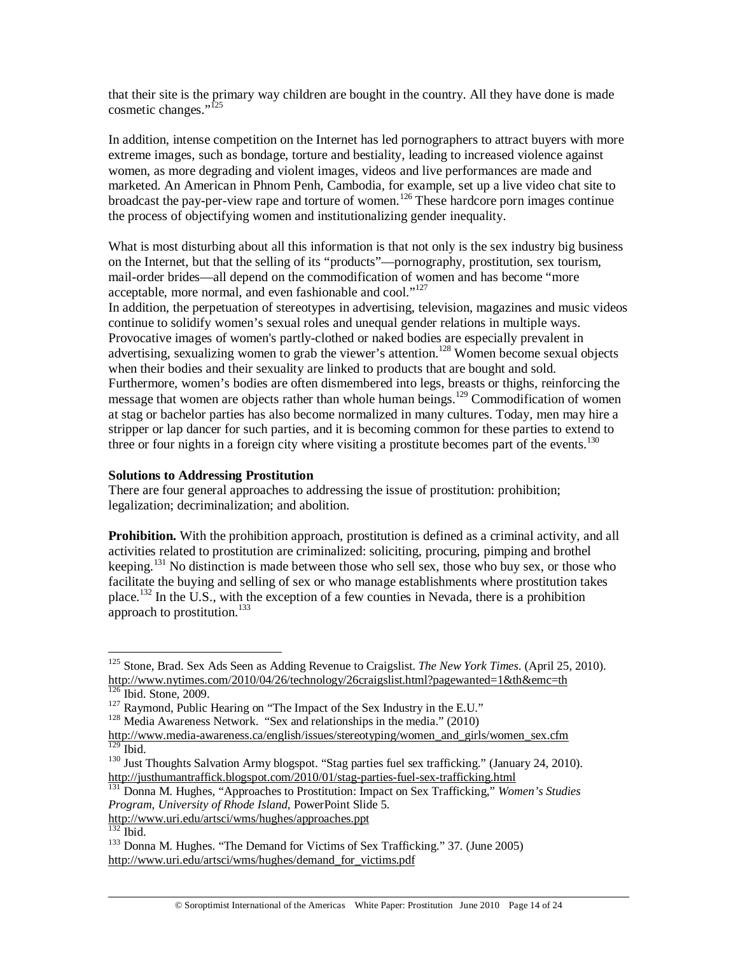that their site is the primary way children are bought in the country. All they have done is made cosmetic changes."<sup>125</sup>

In addition, intense competition on the Internet has led pornographers to attract buyers with more extreme images, such as bondage, torture and bestiality, leading to increased violence against women, as more degrading and violent images, videos and live performances are made and marketed. An American in Phnom Penh, Cambodia, for example, set up a live video chat site to broadcast the pay-per-view rape and torture of women.<sup>126</sup> These hardcore porn images continue the process of objectifying women and institutionalizing gender inequality.

What is most disturbing about all this information is that not only is the sex industry big business on the Internet, but that the selling of its "products"—pornography, prostitution, sex tourism, mail-order brides—all depend on the commodification of women and has become "more acceptable, more normal, and even fashionable and cool."<sup>127</sup>

In addition, the perpetuation of stereotypes in advertising, television, magazines and music videos continue to solidify women's sexual roles and unequal gender relations in multiple ways. Provocative images of women's partly-clothed or naked bodies are especially prevalent in advertising, sexualizing women to grab the viewer's attention.<sup>128</sup> Women become sexual objects when their bodies and their sexuality are linked to products that are bought and sold. Furthermore, women's bodies are often dismembered into legs, breasts or thighs, reinforcing the message that women are objects rather than whole human beings.<sup>129</sup> Commodification of women at stag or bachelor parties has also become normalized in many cultures. Today, men may hire a stripper or lap dancer for such parties, and it is becoming common for these parties to extend to three or four nights in a foreign city where visiting a prostitute becomes part of the events.<sup>130</sup>

#### **Solutions to Addressing Prostitution**

There are four general approaches to addressing the issue of prostitution: prohibition; legalization; decriminalization; and abolition.

**Prohibition.** With the prohibition approach, prostitution is defined as a criminal activity, and all activities related to prostitution are criminalized: soliciting, procuring, pimping and brothel keeping.<sup>131</sup> No distinction is made between those who sell sex, those who buy sex, or those who facilitate the buying and selling of sex or who manage establishments where prostitution takes place.132 In the U.S., with the exception of a few counties in Nevada, there is a prohibition approach to prostitution.<sup>133</sup>

<sup>125</sup> Stone, Brad. Sex Ads Seen as Adding Revenue to Craigslist. *The New York Times*. (April 25, 2010). http://www.nytimes.com/2010/04/26/technology/26craigslist.html?pagewanted=1&th&emc=th<br>
<sup>126</sup> Ibid. Stone, 2009.<br>
<sup>127</sup> Raymond, Public Hearing on "The Impact of the Sex Industry in the E.U."<br>
<sup>128</sup> Media Awareness Network

http://www.media-awareness.ca/english/issues/stereotyping/women\_and\_girls/women\_sex.cfm

<sup>&</sup>lt;sup>130</sup> Just Thoughts Salvation Army blogspot. "Stag parties fuel sex trafficking." (January 24, 2010).<br>http://justhumantraffick.blogspot.com/2010/01/stag-parties-fuel-sex-trafficking.html

<sup>&</sup>lt;sup>131</sup> Donna M. Hughes, "Approaches to Prostitution: Impact on Sex Trafficking," *Women's Studies Program, University of Rhode Island,* PowerPoint Slide 5.

http://www.uri.edu/artsci/wms/hughes/approaches.ppt

<sup>&</sup>lt;sup>133</sup> Donna M. Hughes. "The Demand for Victims of Sex Trafficking." 37. (June 2005) http://www.uri.edu/artsci/wms/hughes/demand\_for\_victims.pdf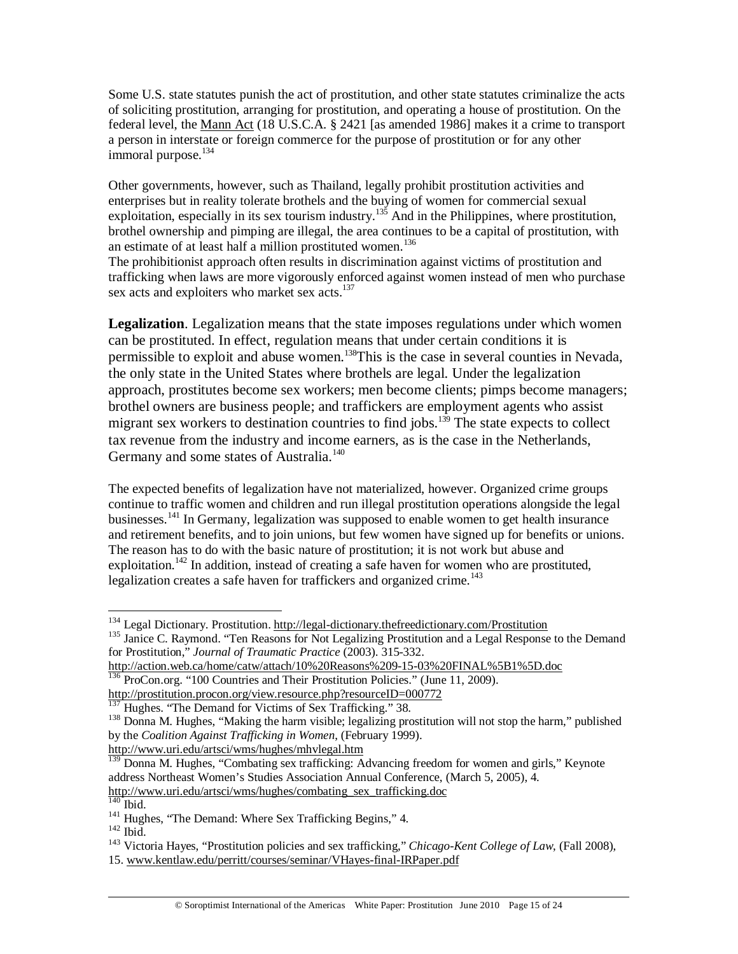Some U.S. state statutes punish the act of prostitution, and other state statutes criminalize the acts of soliciting prostitution, arranging for prostitution, and operating a house of prostitution. On the federal level, the Mann Act (18 U.S.C.A. § 2421 [as amended 1986] makes it a crime to transport a person in interstate or foreign commerce for the purpose of prostitution or for any other immoral purpose.<sup>134</sup>

Other governments, however, such as Thailand, legally prohibit prostitution activities and enterprises but in reality tolerate brothels and the buying of women for commercial sexual exploitation, especially in its sex tourism industry.<sup>135</sup> And in the Philippines, where prostitution, brothel ownership and pimping are illegal, the area continues to be a capital of prostitution, with an estimate of at least half a million prostituted women.<sup>136</sup>

The prohibitionist approach often results in discrimination against victims of prostitution and trafficking when laws are more vigorously enforced against women instead of men who purchase sex acts and exploiters who market sex acts.<sup>137</sup>

**Legalization**. Legalization means that the state imposes regulations under which women can be prostituted. In effect, regulation means that under certain conditions it is permissible to exploit and abuse women.<sup>138</sup>This is the case in several counties in Nevada, the only state in the United States where brothels are legal. Under the legalization approach, prostitutes become sex workers; men become clients; pimps become managers; brothel owners are business people; and traffickers are employment agents who assist migrant sex workers to destination countries to find jobs.<sup>139</sup> The state expects to collect tax revenue from the industry and income earners, as is the case in the Netherlands, Germany and some states of Australia.<sup>140</sup>

The expected benefits of legalization have not materialized, however. Organized crime groups continue to traffic women and children and run illegal prostitution operations alongside the legal businesses.<sup>141</sup> In Germany, legalization was supposed to enable women to get health insurance and retirement benefits, and to join unions, but few women have signed up for benefits or unions. The reason has to do with the basic nature of prostitution; it is not work but abuse and exploitation.<sup>142</sup> In addition, instead of creating a safe haven for women who are prostituted, legalization creates a safe haven for traffickers and organized crime.<sup>143</sup>

http://www.uri.edu/artsci/wms/hughes/mhvlegal.htm

<sup>&</sup>lt;sup>134</sup> Legal Dictionary. Prostitution. http://legal-dictionary.thefreedictionary.com/Prostitution

<sup>&</sup>lt;sup>135</sup> Janice C. Raymond. "Ten Reasons for Not Legalizing Prostitution and a Legal Response to the Demand for Prostitution," *Journal of Traumatic Practice* (2003). 315-332.

http://action.web.ca/home/catw/attach/10%20Reasons%209-15-03%20FINAL%5B1%5D.doc <sup>136</sup> ProCon.org. "100 Countries and Their Prostitution Policies." (June 11, 2009).

http://prostitution.procon.org/view.resource.php?resourceID=000772<br><sup>137</sup> Hughes. "The Demand for Victims of Sex Trafficking." 38.

<sup>&</sup>lt;sup>138</sup> Donna M. Hughes, "Making the harm visible; legalizing prostitution will not stop the harm," published by the *Coalition Against Trafficking in Women*, (February 1999).

 $9$  Donna M. Hughes, "Combating sex trafficking: Advancing freedom for women and girls." Keynote address Northeast Women's Studies Association Annual Conference, (March 5, 2005), 4. http://www.uri.edu/artsci/wms/hughes/combating\_sex\_trafficking.doc

<sup>&</sup>lt;sup>140</sup> Ibid.<br><sup>141</sup> Hughes, "The Demand: Where Sex Trafficking Begins," 4.<br><sup>142</sup> Ibid. 143 Victoria Hayes, "Prostitution policies and sex trafficking," *Chicago-Kent College of Law*, (Fall 2008),

<sup>15.</sup> www.kentlaw.edu/perritt/courses/seminar/VHayes-final-IRPaper.pdf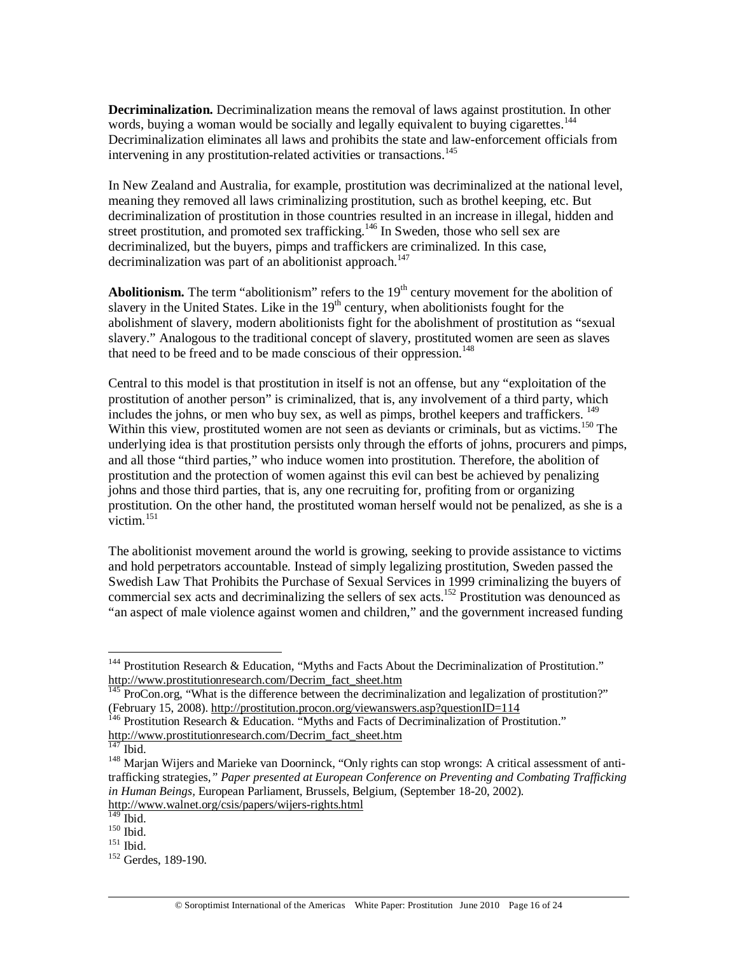**Decriminalization.** Decriminalization means the removal of laws against prostitution. In other words, buying a woman would be socially and legally equivalent to buying cigarettes.<sup>144</sup> Decriminalization eliminates all laws and prohibits the state and law-enforcement officials from intervening in any prostitution-related activities or transactions.<sup>145</sup>

In New Zealand and Australia, for example, prostitution was decriminalized at the national level, meaning they removed all laws criminalizing prostitution, such as brothel keeping, etc. But decriminalization of prostitution in those countries resulted in an increase in illegal, hidden and street prostitution, and promoted sex trafficking.<sup>146</sup> In Sweden, those who sell sex are decriminalized, but the buyers, pimps and traffickers are criminalized. In this case, decriminalization was part of an abolitionist approach.<sup>147</sup>

**Abolitionism.** The term "abolitionism" refers to the 19<sup>th</sup> century movement for the abolition of slavery in the United States. Like in the  $19<sup>th</sup>$  century, when abolitionists fought for the abolishment of slavery, modern abolitionists fight for the abolishment of prostitution as "sexual slavery." Analogous to the traditional concept of slavery, prostituted women are seen as slaves that need to be freed and to be made conscious of their oppression.<sup>148</sup>

Central to this model is that prostitution in itself is not an offense, but any "exploitation of the prostitution of another person" is criminalized, that is, any involvement of a third party, which  $\frac{1}{2}$  includes the johns, or men who buy sex, as well as pimps, brothel keepers and traffickers.  $\frac{149}{2}$ Within this view, prostituted women are not seen as deviants or criminals, but as victims.<sup>150</sup> The underlying idea is that prostitution persists only through the efforts of johns, procurers and pimps, and all those "third parties," who induce women into prostitution. Therefore, the abolition of prostitution and the protection of women against this evil can best be achieved by penalizing johns and those third parties, that is, any one recruiting for, profiting from or organizing prostitution. On the other hand, the prostituted woman herself would not be penalized, as she is a  $\rm victim$ <sup>151</sup>

The abolitionist movement around the world is growing, seeking to provide assistance to victims and hold perpetrators accountable. Instead of simply legalizing prostitution, Sweden passed the Swedish Law That Prohibits the Purchase of Sexual Services in 1999 criminalizing the buyers of commercial sex acts and decriminalizing the sellers of sex acts.<sup>152</sup> Prostitution was denounced as "an aspect of male violence against women and children," and the government increased funding

 $\overline{a}$  $144$  Prostitution Research & Education, "Myths and Facts About the Decriminalization of Prostitution." http://www.prostitutionresearch.com/Decrim\_fact\_sheet.htm

<sup>&</sup>lt;sup>145</sup> ProCon.org, "What is the difference between the decriminalization and legalization of prostitution?" (February 15, 2008). http://prostitution.procon.org/viewanswers.asp?questionID=114

<sup>&</sup>lt;sup>146</sup> Prostitution Research & Education. "Myths and Facts of Decriminalization of Prostitution." http://www.prostitutionresearch.com/Decrim\_fact\_sheet.htm

<sup>&</sup>lt;sup>147</sup> Ibid.<br><sup>148</sup> Marian Wijers and Marieke van Doorninck, "Only rights can stop wrongs: A critical assessment of antitrafficking strategies*," Paper presented at European Conference on Preventing and Combating Trafficking in Human Beings,* European Parliament, Brussels, Belgium, (September 18-20, 2002). http://www.walnet.org/csis/papers/wijers-rights.html

<sup>150</sup> Ibid.<br>
<sup>151</sup> Ibid.<br>
<sup>152</sup> Gerdes, 189-190.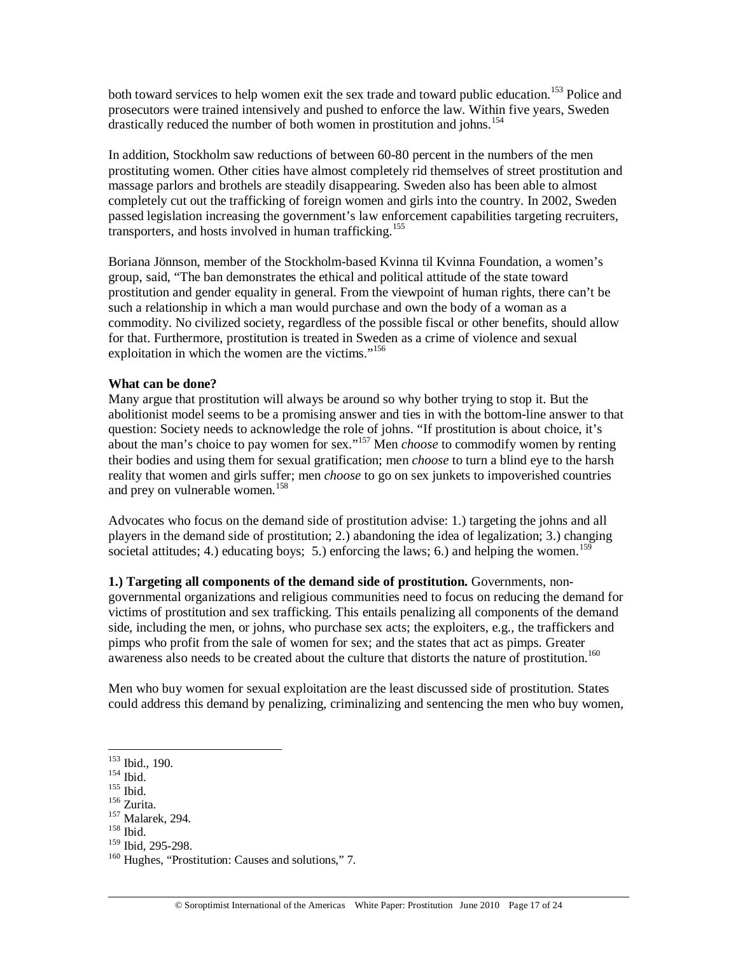both toward services to help women exit the sex trade and toward public education.<sup>153</sup> Police and prosecutors were trained intensively and pushed to enforce the law. Within five years, Sweden drastically reduced the number of both women in prostitution and johns.<sup>154</sup>

In addition, Stockholm saw reductions of between 60-80 percent in the numbers of the men prostituting women. Other cities have almost completely rid themselves of street prostitution and massage parlors and brothels are steadily disappearing. Sweden also has been able to almost completely cut out the trafficking of foreign women and girls into the country. In 2002, Sweden passed legislation increasing the government's law enforcement capabilities targeting recruiters, transporters, and hosts involved in human trafficking.<sup>155</sup>

Boriana Jönnson, member of the Stockholm-based Kvinna til Kvinna Foundation, a women's group, said, "The ban demonstrates the ethical and political attitude of the state toward prostitution and gender equality in general. From the viewpoint of human rights, there can't be such a relationship in which a man would purchase and own the body of a woman as a commodity. No civilized society, regardless of the possible fiscal or other benefits, should allow for that. Furthermore, prostitution is treated in Sweden as a crime of violence and sexual exploitation in which the women are the victims."<sup>156</sup>

#### **What can be done?**

Many argue that prostitution will always be around so why bother trying to stop it. But the abolitionist model seems to be a promising answer and ties in with the bottom-line answer to that question: Society needs to acknowledge the role of johns. "If prostitution is about choice, it's about the man's choice to pay women for sex."157 Men *choose* to commodify women by renting their bodies and using them for sexual gratification; men *choose* to turn a blind eye to the harsh reality that women and girls suffer; men *choose* to go on sex junkets to impoverished countries and prey on vulnerable women.<sup>158</sup>

Advocates who focus on the demand side of prostitution advise: 1.) targeting the johns and all players in the demand side of prostitution; 2.) abandoning the idea of legalization; 3.) changing societal attitudes; 4.) educating boys; 5.) enforcing the laws; 6.) and helping the women.<sup>159</sup>

# **1.) Targeting all components of the demand side of prostitution.** Governments, non-

governmental organizations and religious communities need to focus on reducing the demand for victims of prostitution and sex trafficking. This entails penalizing all components of the demand side, including the men, or johns, who purchase sex acts; the exploiters, e.g., the traffickers and pimps who profit from the sale of women for sex; and the states that act as pimps. Greater awareness also needs to be created about the culture that distorts the nature of prostitution.<sup>160</sup>

Men who buy women for sexual exploitation are the least discussed side of prostitution. States could address this demand by penalizing, criminalizing and sentencing the men who buy women,

<sup>&</sup>lt;sup>153</sup> Ibid., 190.

<sup>154</sup> Ibid.<br>155 Ibid.<br>156 Zurita.<br><sup>157</sup> Malarek, 294.<br><sup>158</sup> Ibid. 295-298.

 $160$  Hughes, "Prostitution: Causes and solutions," 7.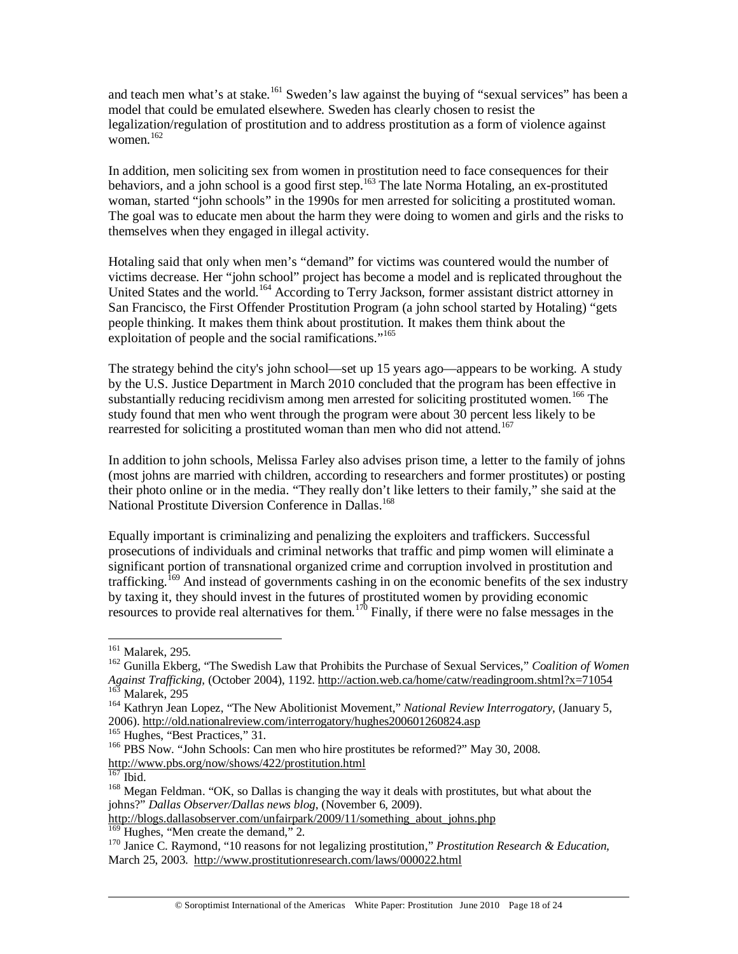and teach men what's at stake.<sup>161</sup> Sweden's law against the buying of "sexual services" has been a model that could be emulated elsewhere. Sweden has clearly chosen to resist the legalization/regulation of prostitution and to address prostitution as a form of violence against women. $162$ 

In addition, men soliciting sex from women in prostitution need to face consequences for their behaviors, and a john school is a good first step.<sup>163</sup> The late Norma Hotaling, an ex-prostituted woman, started "john schools" in the 1990s for men arrested for soliciting a prostituted woman. The goal was to educate men about the harm they were doing to women and girls and the risks to themselves when they engaged in illegal activity.

Hotaling said that only when men's "demand" for victims was countered would the number of victims decrease. Her "john school" project has become a model and is replicated throughout the United States and the world.<sup>164</sup> According to Terry Jackson, former assistant district attorney in San Francisco, the First Offender Prostitution Program (a john school started by Hotaling) "gets people thinking. It makes them think about prostitution. It makes them think about the exploitation of people and the social ramifications."<sup>165</sup>

The strategy behind the city's john school—set up 15 years ago—appears to be working. A study by the U.S. Justice Department in March 2010 concluded that the program has been effective in substantially reducing recidivism among men arrested for soliciting prostituted women.<sup>166</sup> The study found that men who went through the program were about 30 percent less likely to be rearrested for soliciting a prostituted woman than men who did not attend.<sup>167</sup>

In addition to john schools, Melissa Farley also advises prison time, a letter to the family of johns (most johns are married with children, according to researchers and former prostitutes) or posting their photo online or in the media. "They really don't like letters to their family," she said at the National Prostitute Diversion Conference in Dallas.<sup>168</sup>

Equally important is criminalizing and penalizing the exploiters and traffickers. Successful prosecutions of individuals and criminal networks that traffic and pimp women will eliminate a significant portion of transnational organized crime and corruption involved in prostitution and trafficking.<sup>169</sup> And instead of governments cashing in on the economic benefits of the sex industry by taxing it, they should invest in the futures of prostituted women by providing economic resources to provide real alternatives for them.<sup>170</sup> Finally, if there were no false messages in the

<sup>&</sup>lt;sup>161</sup> Malarek, 295.

<sup>&</sup>lt;sup>162</sup> Gunilla Ekberg, "The Swedish Law that Prohibits the Purchase of Sexual Services," *Coalition of Women* Against Trafficking, (October 2004), 1192. http://action.web.ca/home/catw/readingroom.shtml?x=71054<br>
<sup>163</sup> Malarek, 295<br>
<sup>164</sup> Kathryn Jean Lopez, "The New Abolitionist Movement," *National Review Interrogatory*, (January

<sup>&</sup>lt;sup>165</sup> Hughes, "Best Practices," 31.<br><sup>166</sup> PBS Now. "John Schools: Can men who hire prostitutes be reformed?" May 30, 2008.<br>http://www.pbs.org/now/shows/422/prostitution.html

 $\frac{167}{167}$  Ibid. 168 Megan Feldman. "OK, so Dallas is changing the way it deals with prostitutes, but what about the johns?" *Dallas Observer/Dallas news blog*, (November 6, 2009).

http://blogs.dallasobserver.com/unfairpark/2009/11/something\_about\_johns.php  $\frac{169}{169}$  Hughes, "Men create the demand," 2.

<sup>&</sup>lt;sup>170</sup> Janice C. Raymond, "10 reasons for not legalizing prostitution," *Prostitution Research & Education*, March 25, 2003. http://www.prostitutionresearch.com/laws/000022.html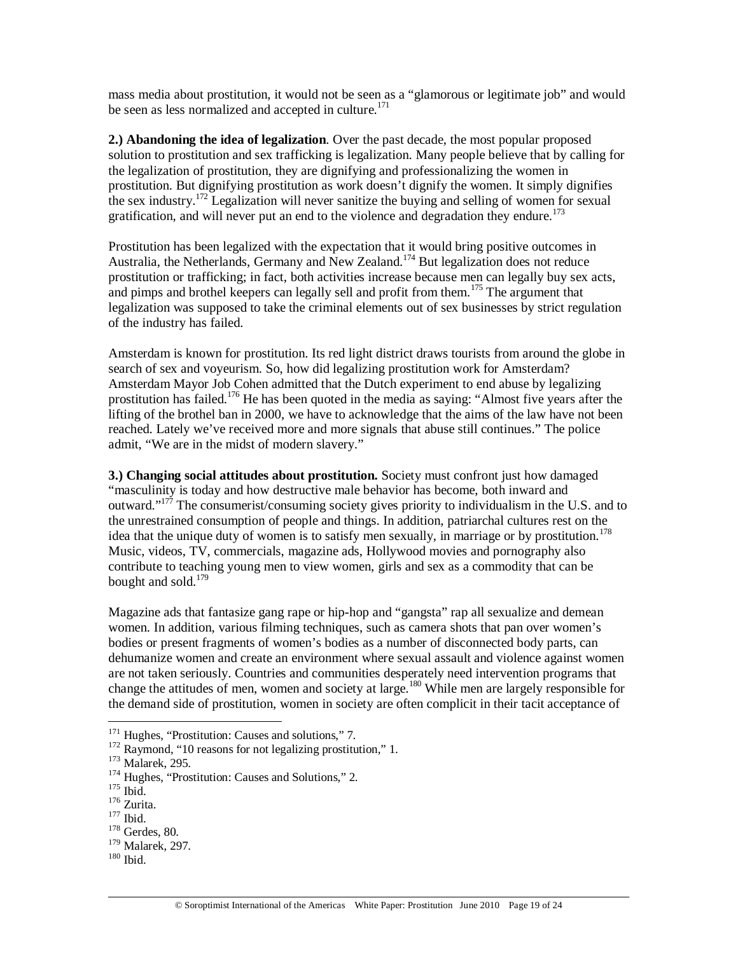mass media about prostitution, it would not be seen as a "glamorous or legitimate job" and would be seen as less normalized and accepted in culture.<sup>171</sup>

**2.) Abandoning the idea of legalization**. Over the past decade, the most popular proposed solution to prostitution and sex trafficking is legalization. Many people believe that by calling for the legalization of prostitution, they are dignifying and professionalizing the women in prostitution. But dignifying prostitution as work doesn't dignify the women. It simply dignifies the sex industry.<sup>172</sup> Legalization will never sanitize the buying and selling of women for sexual gratification, and will never put an end to the violence and degradation they endure.<sup>173</sup>

Prostitution has been legalized with the expectation that it would bring positive outcomes in Australia, the Netherlands, Germany and New Zealand.<sup>174</sup> But legalization does not reduce prostitution or trafficking; in fact, both activities increase because men can legally buy sex acts, and pimps and brothel keepers can legally sell and profit from them.<sup>175</sup> The argument that legalization was supposed to take the criminal elements out of sex businesses by strict regulation of the industry has failed.

Amsterdam is known for prostitution. Its red light district draws tourists from around the globe in search of sex and voyeurism. So, how did legalizing prostitution work for Amsterdam? Amsterdam Mayor Job Cohen admitted that the Dutch experiment to end abuse by legalizing prostitution has failed.<sup>176</sup> He has been quoted in the media as saying: "Almost five years after the lifting of the brothel ban in 2000, we have to acknowledge that the aims of the law have not been reached. Lately we've received more and more signals that abuse still continues." The police admit, "We are in the midst of modern slavery."

**3.) Changing social attitudes about prostitution.** Society must confront just how damaged "masculinity is today and how destructive male behavior has become, both inward and outward."<sup>177</sup> The consumerist/consuming society gives priority to individualism in the U.S. and to the unrestrained consumption of people and things. In addition, patriarchal cultures rest on the idea that the unique duty of women is to satisfy men sexually, in marriage or by prostitution.<sup>178</sup> Music, videos, TV, commercials, magazine ads, Hollywood movies and pornography also contribute to teaching young men to view women, girls and sex as a commodity that can be bought and sold.<sup>179</sup>

Magazine ads that fantasize gang rape or hip-hop and "gangsta" rap all sexualize and demean women. In addition, various filming techniques, such as camera shots that pan over women's bodies or present fragments of women's bodies as a number of disconnected body parts, can dehumanize women and create an environment where sexual assault and violence against women are not taken seriously. Countries and communities desperately need intervention programs that change the attitudes of men, women and society at large.<sup>180</sup> While men are largely responsible for the demand side of prostitution, women in society are often complicit in their tacit acceptance of

<sup>&</sup>lt;sup>171</sup> Hughes, "Prostitution: Causes and solutions," 7.

<sup>&</sup>lt;sup>172</sup> Raymond, "10 reasons for not legalizing prostitution," 1.<br>
<sup>173</sup> Malarek, 295.<br>
<sup>174</sup> Hughes, "Prostitution: Causes and Solutions," 2.<br>
<sup>175</sup> Ibid.<br>
<sup>176</sup> Zurita.<br>
<sup>176</sup> Zurita.<br>
<sup>176</sup> Gerdes, 80.

<sup>&</sup>lt;sup>179</sup> Malarek, 297.<br><sup>180</sup> Ibid.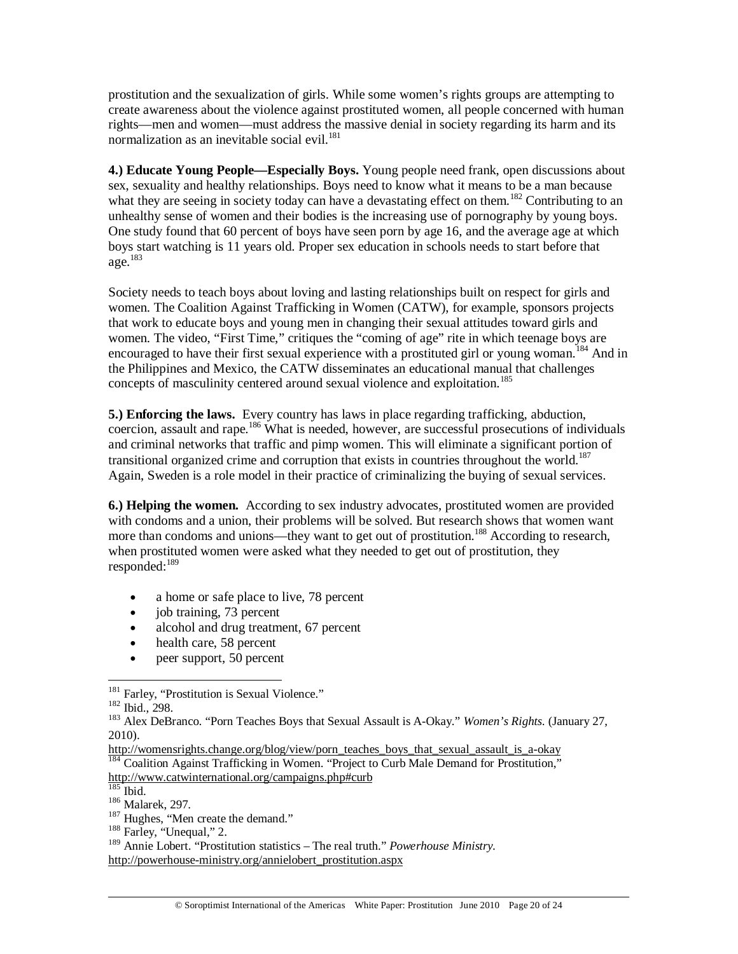prostitution and the sexualization of girls. While some women's rights groups are attempting to create awareness about the violence against prostituted women, all people concerned with human rights—men and women—must address the massive denial in society regarding its harm and its normalization as an inevitable social evil.<sup>181</sup>

**4.) Educate Young People—Especially Boys.** Young people need frank, open discussions about sex, sexuality and healthy relationships. Boys need to know what it means to be a man because what they are seeing in society today can have a devastating effect on them.<sup>182</sup> Contributing to an unhealthy sense of women and their bodies is the increasing use of pornography by young boys. One study found that 60 percent of boys have seen porn by age 16, and the average age at which boys start watching is 11 years old. Proper sex education in schools needs to start before that  $age.<sup>183</sup>$ 

Society needs to teach boys about loving and lasting relationships built on respect for girls and women. The Coalition Against Trafficking in Women (CATW), for example, sponsors projects that work to educate boys and young men in changing their sexual attitudes toward girls and women. The video, "First Time," critiques the "coming of age" rite in which teenage boys are encouraged to have their first sexual experience with a prostituted girl or young woman.<sup>184</sup> And in the Philippines and Mexico, the CATW disseminates an educational manual that challenges concepts of masculinity centered around sexual violence and exploitation.<sup>185</sup>

**5.) Enforcing the laws.** Every country has laws in place regarding trafficking, abduction, coercion, assault and rape.186 What is needed, however, are successful prosecutions of individuals and criminal networks that traffic and pimp women. This will eliminate a significant portion of transitional organized crime and corruption that exists in countries throughout the world.<sup>187</sup> Again, Sweden is a role model in their practice of criminalizing the buying of sexual services.

**6.) Helping the women.** According to sex industry advocates, prostituted women are provided with condoms and a union, their problems will be solved. But research shows that women want more than condoms and unions—they want to get out of prostitution.<sup>188</sup> According to research, when prostituted women were asked what they needed to get out of prostitution, they responded:<sup>189</sup>

- a home or safe place to live, 78 percent
- job training, 73 percent
- alcohol and drug treatment, 67 percent
- health care, 58 percent
- peer support, 50 percent

http://www.catwinternational.org/campaigns.php#curb

189 Annie Lobert. "Prostitution statistics – The real truth." *Powerhouse Ministry.* http://powerhouse-ministry.org/annielobert\_prostitution.aspx

<sup>&</sup>lt;sup>181</sup> Farley, "Prostitution is Sexual Violence."

<sup>&</sup>lt;sup>182</sup> Ibid., 298.<br><sup>183</sup> Alex DeBranco. "Porn Teaches Boys that Sexual Assault is A-Okay." *Women's Rights.* (January 27, 2010).<br>http://womensrights.change.org/blog/view/porn\_teaches\_boys\_that\_sexual\_assault\_is\_a-okay\_

 $\frac{184}{184}$  Coalition Against Trafficking in Women. "Project to Curb Male Demand for Prostitution,"

<sup>&</sup>lt;sup>185</sup> Ibid.<br><sup>186</sup> Malarek, 297.<br><sup>187</sup> Hughes, "Men create the demand." <sup>188</sup> Farley, "Unequal," 2.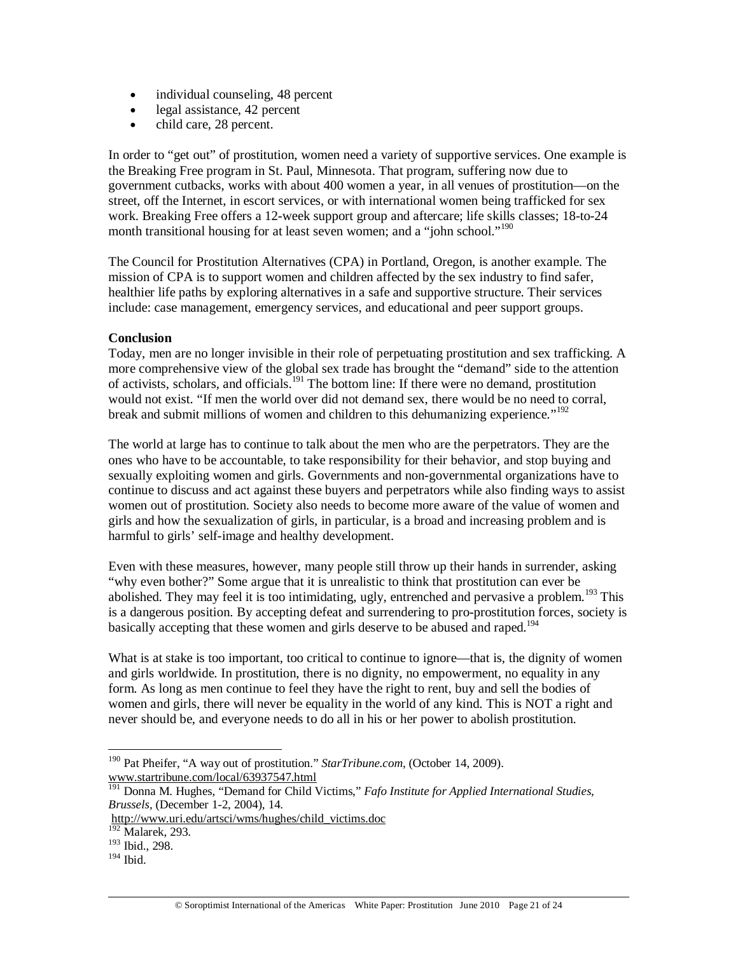- individual counseling, 48 percent
- legal assistance, 42 percent
- child care, 28 percent.

In order to "get out" of prostitution, women need a variety of supportive services. One example is the Breaking Free program in St. Paul, Minnesota. That program, suffering now due to government cutbacks, works with about 400 women a year, in all venues of prostitution—on the street, off the Internet, in escort services, or with international women being trafficked for sex work. Breaking Free offers a 12-week support group and aftercare; life skills classes; 18-to-24 month transitional housing for at least seven women; and a "john school."<sup>190</sup>

The Council for Prostitution Alternatives (CPA) in Portland, Oregon, is another example. The mission of CPA is to support women and children affected by the sex industry to find safer, healthier life paths by exploring alternatives in a safe and supportive structure. Their services include: case management, emergency services, and educational and peer support groups.

#### **Conclusion**

Today, men are no longer invisible in their role of perpetuating prostitution and sex trafficking. A more comprehensive view of the global sex trade has brought the "demand" side to the attention of activists, scholars, and officials.<sup>191</sup> The bottom line: If there were no demand, prostitution would not exist. "If men the world over did not demand sex, there would be no need to corral, break and submit millions of women and children to this dehumanizing experience."<sup>192</sup>

The world at large has to continue to talk about the men who are the perpetrators. They are the ones who have to be accountable, to take responsibility for their behavior, and stop buying and sexually exploiting women and girls. Governments and non-governmental organizations have to continue to discuss and act against these buyers and perpetrators while also finding ways to assist women out of prostitution. Society also needs to become more aware of the value of women and girls and how the sexualization of girls, in particular, is a broad and increasing problem and is harmful to girls' self-image and healthy development.

Even with these measures, however, many people still throw up their hands in surrender, asking "why even bother?" Some argue that it is unrealistic to think that prostitution can ever be abolished. They may feel it is too intimidating, ugly, entrenched and pervasive a problem.<sup>193</sup> This is a dangerous position. By accepting defeat and surrendering to pro-prostitution forces, society is basically accepting that these women and girls deserve to be abused and raped.<sup>194</sup>

What is at stake is too important, too critical to continue to ignore—that is, the dignity of women and girls worldwide. In prostitution, there is no dignity, no empowerment, no equality in any form. As long as men continue to feel they have the right to rent, buy and sell the bodies of women and girls, there will never be equality in the world of any kind. This is NOT a right and never should be, and everyone needs to do all in his or her power to abolish prostitution.

<sup>190</sup> Pat Pheifer, "A way out of prostitution." *StarTribune.com*, (October 14, 2009). www.startribune.com/local/63937547.html

<sup>191</sup> Donna M. Hughes, "Demand for Child Victims," *Fafo Institute for Applied International Studies, Brussels,* (December 1-2, 2004), 14.

http://www.uri.edu/artsci/wms/hughes/child\_victims.doc

 $\frac{192}{2}$ Malarek, 293.

<sup>193</sup> Ibid., 298.

 $194$  Ibid.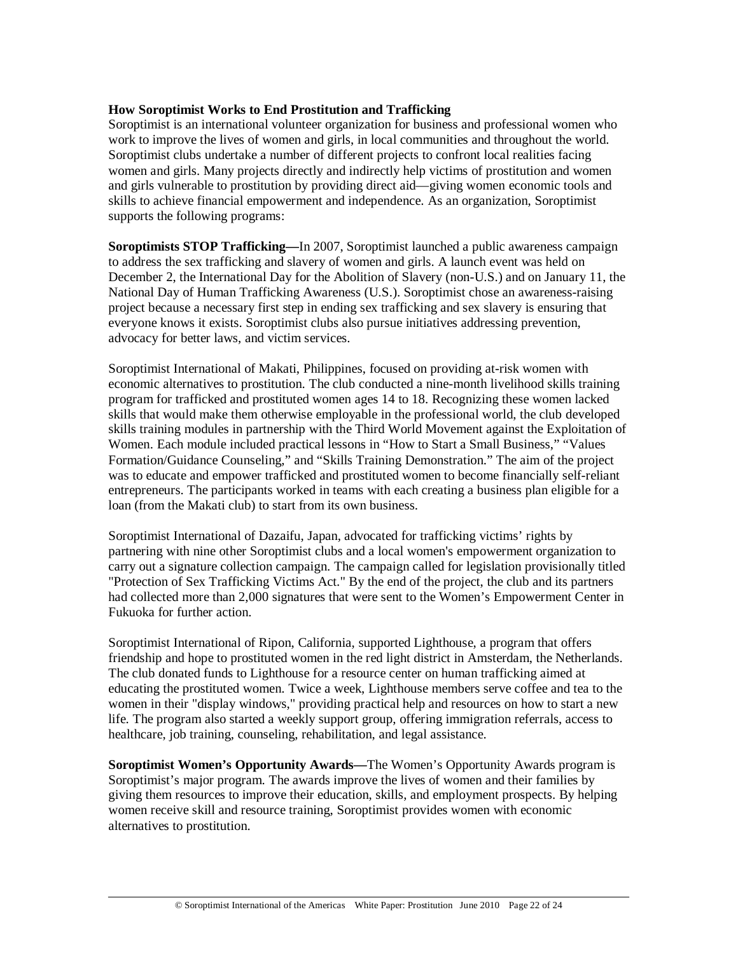# **How Soroptimist Works to End Prostitution and Trafficking**

Soroptimist is an international volunteer organization for business and professional women who work to improve the lives of women and girls, in local communities and throughout the world. Soroptimist clubs undertake a number of different projects to confront local realities facing women and girls. Many projects directly and indirectly help victims of prostitution and women and girls vulnerable to prostitution by providing direct aid—giving women economic tools and skills to achieve financial empowerment and independence. As an organization, Soroptimist supports the following programs:

**Soroptimists STOP Trafficking—**In 2007, Soroptimist launched a public awareness campaign to address the sex trafficking and slavery of women and girls. A launch event was held on December 2, the International Day for the Abolition of Slavery (non-U.S.) and on January 11, the National Day of Human Trafficking Awareness (U.S.). Soroptimist chose an awareness-raising project because a necessary first step in ending sex trafficking and sex slavery is ensuring that everyone knows it exists. Soroptimist clubs also pursue initiatives addressing prevention, advocacy for better laws, and victim services.

Soroptimist International of Makati, Philippines, focused on providing at-risk women with economic alternatives to prostitution. The club conducted a nine-month livelihood skills training program for trafficked and prostituted women ages 14 to 18. Recognizing these women lacked skills that would make them otherwise employable in the professional world, the club developed skills training modules in partnership with the Third World Movement against the Exploitation of Women. Each module included practical lessons in "How to Start a Small Business," "Values Formation/Guidance Counseling," and "Skills Training Demonstration." The aim of the project was to educate and empower trafficked and prostituted women to become financially self-reliant entrepreneurs. The participants worked in teams with each creating a business plan eligible for a loan (from the Makati club) to start from its own business.

Soroptimist International of Dazaifu, Japan, advocated for trafficking victims' rights by partnering with nine other Soroptimist clubs and a local women's empowerment organization to carry out a signature collection campaign. The campaign called for legislation provisionally titled "Protection of Sex Trafficking Victims Act." By the end of the project, the club and its partners had collected more than 2,000 signatures that were sent to the Women's Empowerment Center in Fukuoka for further action.

Soroptimist International of Ripon, California, supported Lighthouse, a program that offers friendship and hope to prostituted women in the red light district in Amsterdam, the Netherlands. The club donated funds to Lighthouse for a resource center on human trafficking aimed at educating the prostituted women. Twice a week, Lighthouse members serve coffee and tea to the women in their "display windows," providing practical help and resources on how to start a new life. The program also started a weekly support group, offering immigration referrals, access to healthcare, job training, counseling, rehabilitation, and legal assistance.

**Soroptimist Women's Opportunity Awards—**The Women's Opportunity Awards program is Soroptimist's major program. The awards improve the lives of women and their families by giving them resources to improve their education, skills, and employment prospects. By helping women receive skill and resource training, Soroptimist provides women with economic alternatives to prostitution.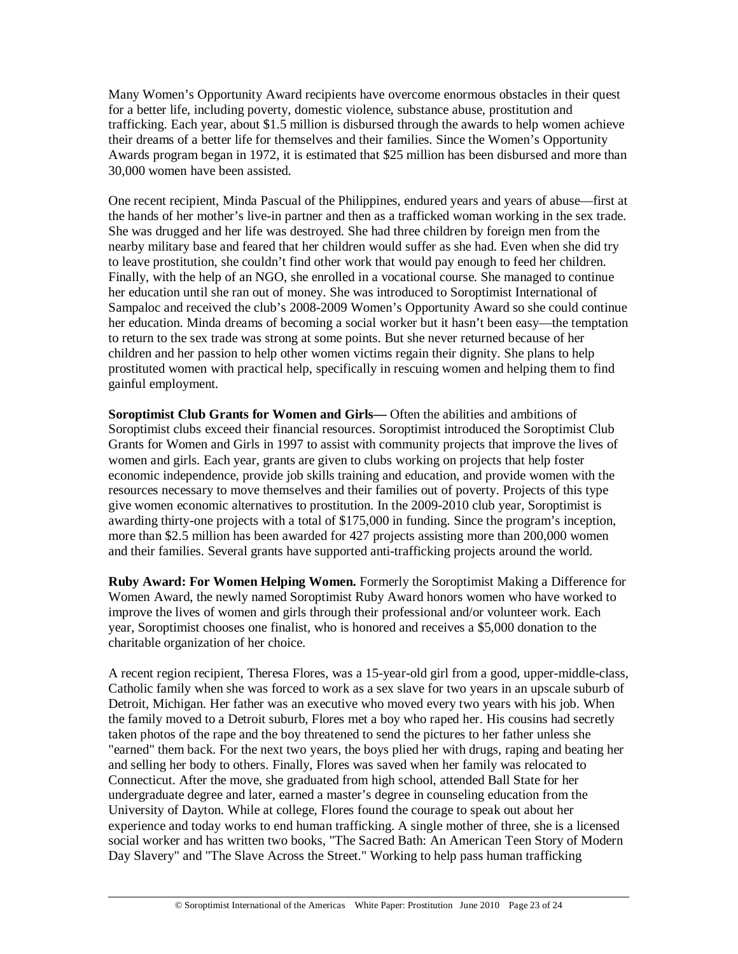Many Women's Opportunity Award recipients have overcome enormous obstacles in their quest for a better life, including poverty, domestic violence, substance abuse, prostitution and trafficking. Each year, about \$1.5 million is disbursed through the awards to help women achieve their dreams of a better life for themselves and their families. Since the Women's Opportunity Awards program began in 1972, it is estimated that \$25 million has been disbursed and more than 30,000 women have been assisted.

One recent recipient, Minda Pascual of the Philippines, endured years and years of abuse—first at the hands of her mother's live-in partner and then as a trafficked woman working in the sex trade. She was drugged and her life was destroyed. She had three children by foreign men from the nearby military base and feared that her children would suffer as she had. Even when she did try to leave prostitution, she couldn't find other work that would pay enough to feed her children. Finally, with the help of an NGO, she enrolled in a vocational course. She managed to continue her education until she ran out of money. She was introduced to Soroptimist International of Sampaloc and received the club's 2008-2009 Women's Opportunity Award so she could continue her education. Minda dreams of becoming a social worker but it hasn't been easy—the temptation to return to the sex trade was strong at some points. But she never returned because of her children and her passion to help other women victims regain their dignity. She plans to help prostituted women with practical help, specifically in rescuing women and helping them to find gainful employment.

**Soroptimist Club Grants for Women and Girls—** Often the abilities and ambitions of Soroptimist clubs exceed their financial resources. Soroptimist introduced the Soroptimist Club Grants for Women and Girls in 1997 to assist with community projects that improve the lives of women and girls. Each year, grants are given to clubs working on projects that help foster economic independence, provide job skills training and education, and provide women with the resources necessary to move themselves and their families out of poverty. Projects of this type give women economic alternatives to prostitution. In the 2009-2010 club year, Soroptimist is awarding thirty-one projects with a total of \$175,000 in funding. Since the program's inception, more than \$2.5 million has been awarded for 427 projects assisting more than 200,000 women and their families. Several grants have supported anti-trafficking projects around the world.

**Ruby Award: For Women Helping Women.** Formerly the Soroptimist Making a Difference for Women Award, the newly named Soroptimist Ruby Award honors women who have worked to improve the lives of women and girls through their professional and/or volunteer work. Each year, Soroptimist chooses one finalist, who is honored and receives a \$5,000 donation to the charitable organization of her choice.

A recent region recipient, Theresa Flores, was a 15-year-old girl from a good, upper-middle-class, Catholic family when she was forced to work as a sex slave for two years in an upscale suburb of Detroit, Michigan. Her father was an executive who moved every two years with his job. When the family moved to a Detroit suburb, Flores met a boy who raped her. His cousins had secretly taken photos of the rape and the boy threatened to send the pictures to her father unless she "earned" them back. For the next two years, the boys plied her with drugs, raping and beating her and selling her body to others. Finally, Flores was saved when her family was relocated to Connecticut. After the move, she graduated from high school, attended Ball State for her undergraduate degree and later, earned a master's degree in counseling education from the University of Dayton. While at college, Flores found the courage to speak out about her experience and today works to end human trafficking. A single mother of three, she is a licensed social worker and has written two books, "The Sacred Bath: An American Teen Story of Modern Day Slavery" and "The Slave Across the Street." Working to help pass human trafficking